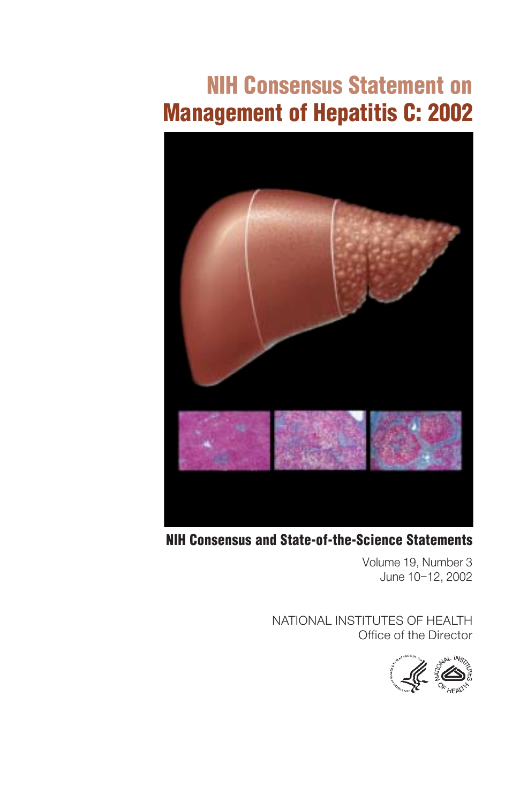# **NIH Consensus Statement on Management of Hepatitis C: 2002**



**NIH Consensus and State-of-the-Science Statements** 

Volume 19, Number 3 June 10–12, 2002

NATIONAL INSTITUTES OF HEALTH Office of the Director

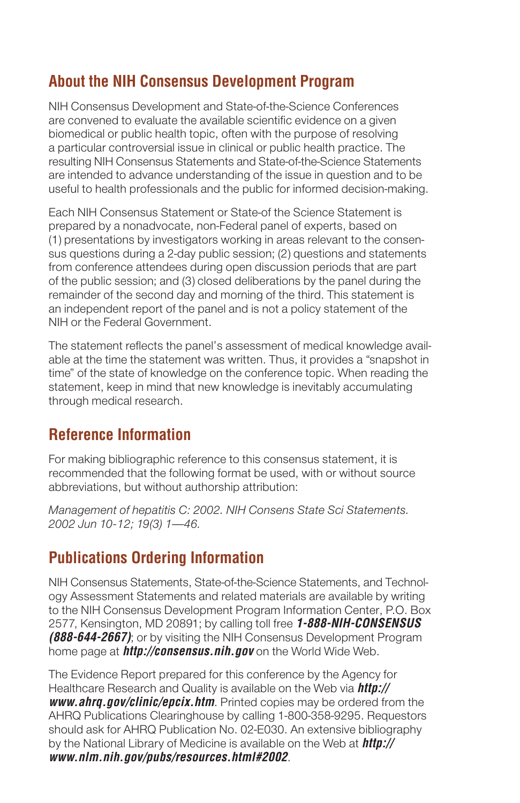## **About the NIH Consensus Development Program**

NIH Consensus Development and State-of-the-Science Conferences are convened to evaluate the available scientific evidence on a given biomedical or public health topic, often with the purpose of resolving a particular controversial issue in clinical or public health practice. The resulting NIH Consensus Statements and State-of-the-Science Statements are intended to advance understanding of the issue in question and to be useful to health professionals and the public for informed decision-making.

Each NIH Consensus Statement or State-of the Science Statement is prepared by a nonadvocate, non-Federal panel of experts, based on (1) presentations by investigators working in areas relevant to the consensus questions during a 2-day public session; (2) questions and statements from conference attendees during open discussion periods that are part of the public session; and (3) closed deliberations by the panel during the remainder of the second day and morning of the third. This statement is an independent report of the panel and is not a policy statement of the NIH or the Federal Government.

The statement reflects the panel's assessment of medical knowledge available at the time the statement was written. Thus, it provides a "snapshot in time" of the state of knowledge on the conference topic. When reading the statement, keep in mind that new knowledge is inevitably accumulating through medical research.

## **Reference Information**

For making bibliographic reference to this consensus statement, it is recommended that the following format be used, with or without source abbreviations, but without authorship attribution:

Management of hepatitis C: 2002. NIH Consens State Sci Statements. 2002 Jun 10-12; 19(3) 1—46.

## **Publications Ordering Information**

NIH Consensus Statements, State-of-the-Science Statements, and Technology Assessment Statements and related materials are available by writing to the NIH Consensus Development Program Information Center, P.O. Box 2577, Kensington, MD 20891; by calling toll free **1-888-NIH-CONSENSUS (888-644-2667)**; or by visiting the NIH Consensus Development Program home page at **http://consensus.nih.gov** on the World Wide Web.

The Evidence Report prepared for this conference by the Agency for Healthcare Research and Quality is available on the Web via **http:// www.ahrq.gov/clinic/epcix.htm**. Printed copies may be ordered from the AHRQ Publications Clearinghouse by calling 1-800-358-9295. Requestors should ask for AHRQ Publication No. 02-E030. An extensive bibliography by the National Library of Medicine is available on the Web at **http:// www.nlm.nih.gov/pubs/resources.html#2002**.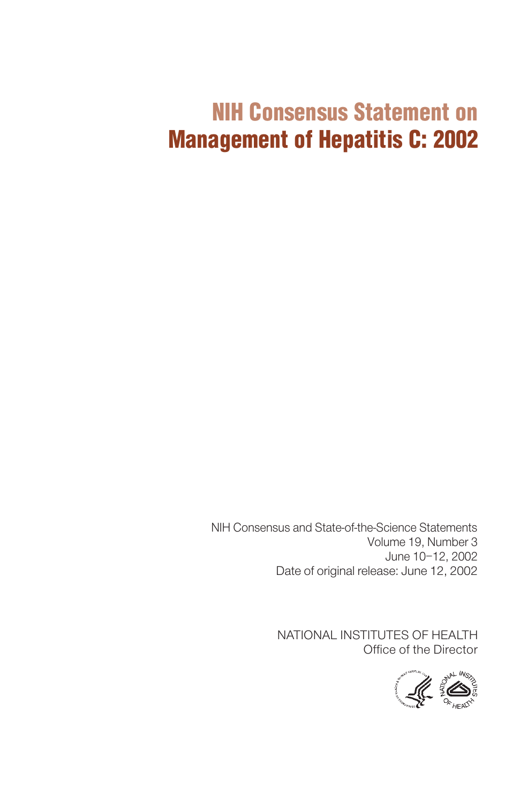# **NIH Consensus Statement on Management of Hepatitis C: 2002**

NIH Consensus and State-of-the-Science Statements Volume 19, Number 3 June 10–12, 2002 Date of original release: June 12, 2002

NATIONAL INSTITUTES OF HEALTH

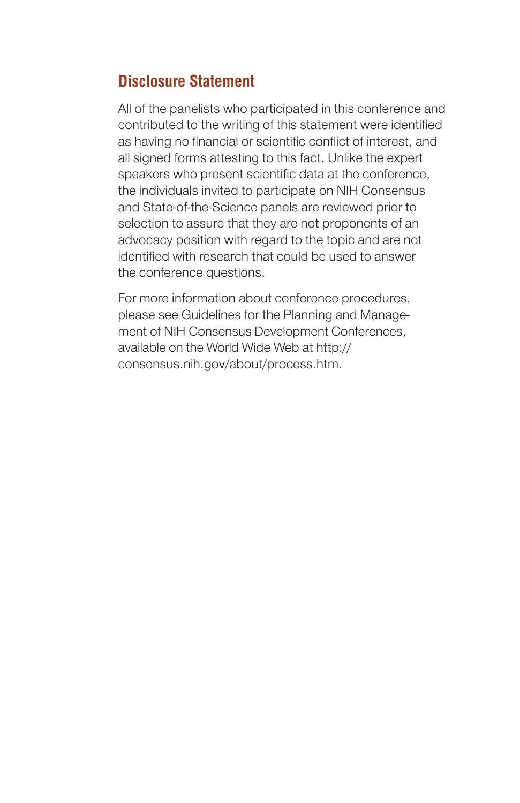## **Disclosure Statement**

All of the panelists who participated in this conference and contributed to the writing of this statement were identified as having no financial or scientific conflict of interest, and all signed forms attesting to this fact. Unlike the expert speakers who present scientific data at the conference, the individuals invited to participate on NIH Consensus and State-of-the-Science panels are reviewed prior to selection to assure that they are not proponents of an advocacy position with regard to the topic and are not identified with research that could be used to answer the conference questions.

For more information about conference procedures, please see Guidelines for the Planning and Management of NIH Consensus Development Conferences, available on the World Wide Web at http:// consensus.nih.gov/about/process.htm.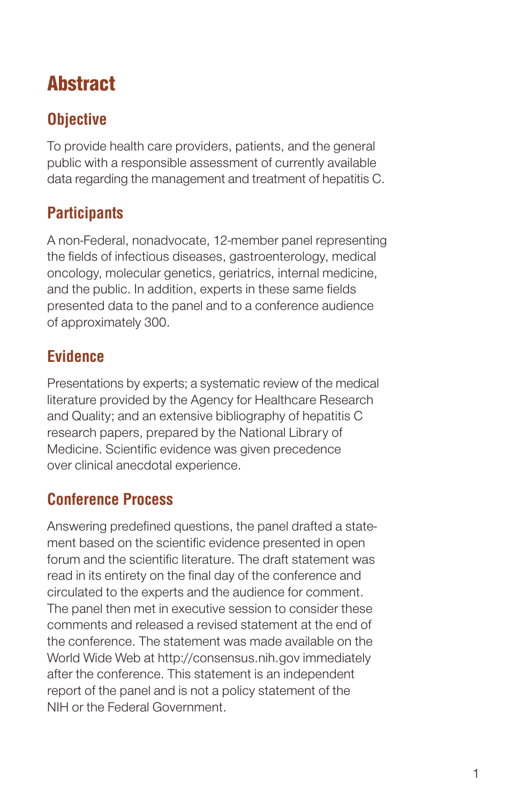# **Abstract**

## **Objective**

To provide health care providers, patients, and the general public with a responsible assessment of currently available data regarding the management and treatment of hepatitis C.

## **Participants**

A non-Federal, nonadvocate, 12-member panel representing the fields of infectious diseases, gastroenterology, medical oncology, molecular genetics, geriatrics, internal medicine, and the public. In addition, experts in these same fields presented data to the panel and to a conference audience of approximately 300.

## **Evidence**

Presentations by experts; a systematic review of the medical literature provided by the Agency for Healthcare Research and Quality; and an extensive bibliography of hepatitis C research papers, prepared by the National Library of Medicine. Scientific evidence was given precedence over clinical anecdotal experience.

## **Conference Process**

Answering predefined questions, the panel drafted a statement based on the scientific evidence presented in open forum and the scientific literature. The draft statement was read in its entirety on the final day of the conference and circulated to the experts and the audience for comment. The panel then met in executive session to consider these comments and released a revised statement at the end of the conference. The statement was made available on the World Wide Web at http://consensus.nih.gov immediately after the conference. This statement is an independent report of the panel and is not a policy statement of the NIH or the Federal Government.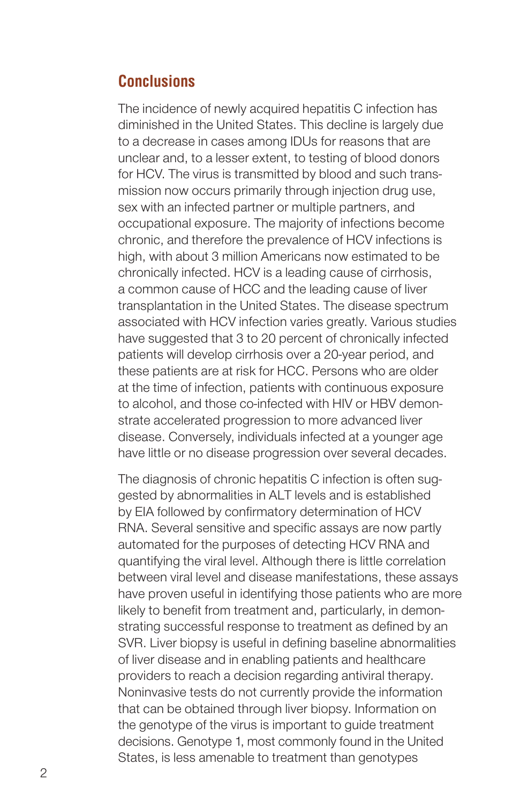## **Conclusions**

The incidence of newly acquired hepatitis C infection has diminished in the United States. This decline is largely due to a decrease in cases among IDUs for reasons that are unclear and, to a lesser extent, to testing of blood donors for HCV. The virus is transmitted by blood and such transmission now occurs primarily through injection drug use, sex with an infected partner or multiple partners, and occupational exposure. The majority of infections become chronic, and therefore the prevalence of HCV infections is high, with about 3 million Americans now estimated to be chronically infected. HCV is a leading cause of cirrhosis, a common cause of HCC and the leading cause of liver transplantation in the United States. The disease spectrum associated with HCV infection varies greatly. Various studies have suggested that 3 to 20 percent of chronically infected patients will develop cirrhosis over a 20-year period, and these patients are at risk for HCC. Persons who are older at the time of infection, patients with continuous exposure to alcohol, and those co-infected with HIV or HBV demonstrate accelerated progression to more advanced liver disease. Conversely, individuals infected at a younger age have little or no disease progression over several decades.

The diagnosis of chronic hepatitis C infection is often suggested by abnormalities in ALT levels and is established by EIA followed by confirmatory determination of HCV RNA. Several sensitive and specific assays are now partly automated for the purposes of detecting HCV RNA and quantifying the viral level. Although there is little correlation between viral level and disease manifestations, these assays have proven useful in identifying those patients who are more likely to benefit from treatment and, particularly, in demonstrating successful response to treatment as defined by an SVR. Liver biopsy is useful in defining baseline abnormalities of liver disease and in enabling patients and healthcare providers to reach a decision regarding antiviral therapy. Noninvasive tests do not currently provide the information that can be obtained through liver biopsy. Information on the genotype of the virus is important to guide treatment decisions. Genotype 1, most commonly found in the United States, is less amenable to treatment than genotypes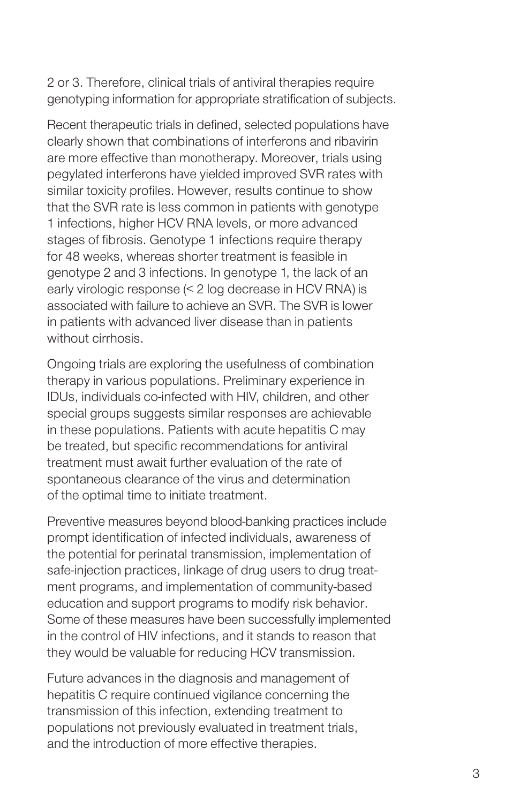2 or 3. Therefore, clinical trials of antiviral therapies require genotyping information for appropriate stratification of subjects.

Recent therapeutic trials in defined, selected populations have clearly shown that combinations of interferons and ribavirin are more effective than monotherapy. Moreover, trials using pegylated interferons have yielded improved SVR rates with similar toxicity profiles. However, results continue to show that the SVR rate is less common in patients with genotype 1 infections, higher HCV RNA levels, or more advanced stages of fibrosis. Genotype 1 infections require therapy for 48 weeks, whereas shorter treatment is feasible in genotype 2 and 3 infections. In genotype 1, the lack of an early virologic response (< 2 log decrease in HCV RNA) is associated with failure to achieve an SVR. The SVR is lower in patients with advanced liver disease than in patients without cirrhosis

Ongoing trials are exploring the usefulness of combination therapy in various populations. Preliminary experience in IDUs, individuals co-infected with HIV, children, and other special groups suggests similar responses are achievable in these populations. Patients with acute hepatitis C may be treated, but specific recommendations for antiviral treatment must await further evaluation of the rate of spontaneous clearance of the virus and determination of the optimal time to initiate treatment.

Preventive measures beyond blood-banking practices include prompt identification of infected individuals, awareness of the potential for perinatal transmission, implementation of safe-injection practices, linkage of drug users to drug treatment programs, and implementation of community-based education and support programs to modify risk behavior. Some of these measures have been successfully implemented in the control of HIV infections, and it stands to reason that they would be valuable for reducing HCV transmission.

Future advances in the diagnosis and management of hepatitis C require continued vigilance concerning the transmission of this infection, extending treatment to populations not previously evaluated in treatment trials, and the introduction of more effective therapies.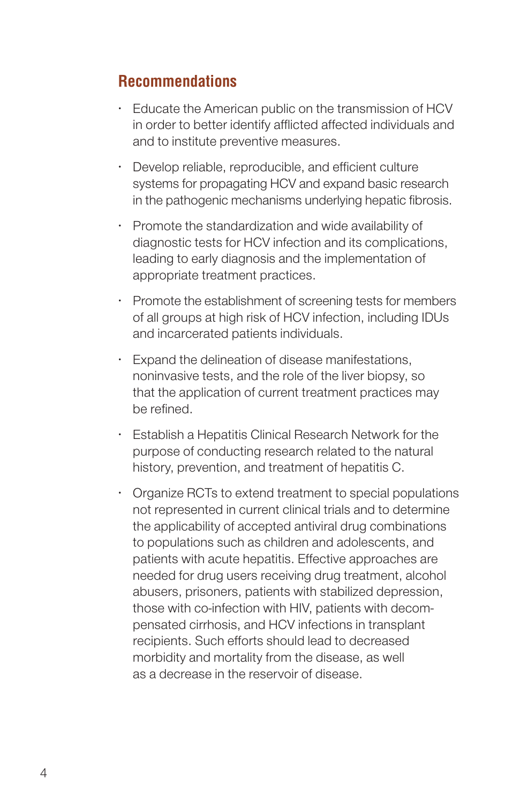## **Recommendations**

- $\cdot$  Educate the American public on the transmission of HCV in order to better identify afflicted affected individuals and and to institute preventive measures.
- $\cdot$  Develop reliable, reproducible, and efficient culture systems for propagating HCV and expand basic research in the pathogenic mechanisms underlying hepatic fibrosis.
- $\cdot$  Promote the standardization and wide availability of diagnostic tests for HCV infection and its complications, leading to early diagnosis and the implementation of appropriate treatment practices.
- $\cdot$  Promote the establishment of screening tests for members of all groups at high risk of HCV infection, including IDUs and incarcerated patients individuals.
- $\cdot$  Expand the delineation of disease manifestations, noninvasive tests, and the role of the liver biopsy, so that the application of current treatment practices may be refined.
- • Establish a Hepatitis Clinical Research Network for the purpose of conducting research related to the natural history, prevention, and treatment of hepatitis C.
- $\cdot$  Organize RCTs to extend treatment to special populations not represented in current clinical trials and to determine the applicability of accepted antiviral drug combinations to populations such as children and adolescents, and patients with acute hepatitis. Effective approaches are needed for drug users receiving drug treatment, alcohol abusers, prisoners, patients with stabilized depression, those with co-infection with HIV, patients with decompensated cirrhosis, and HCV infections in transplant recipients. Such efforts should lead to decreased morbidity and mortality from the disease, as well as a decrease in the reservoir of disease.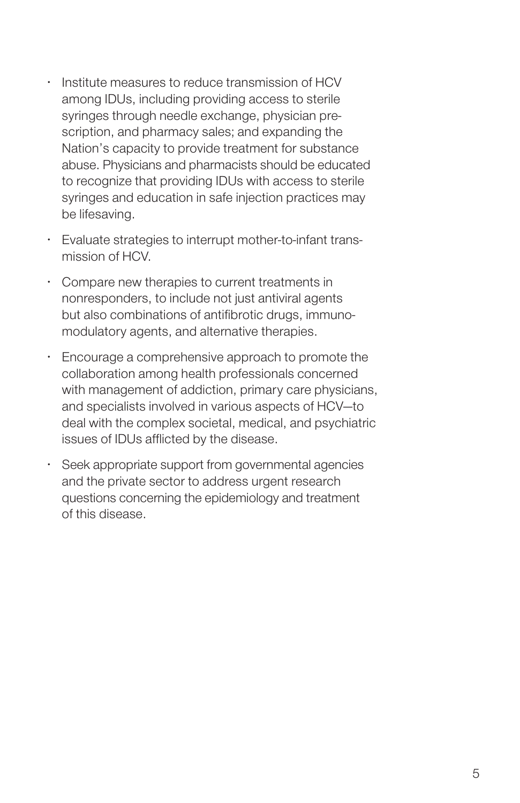- • Institute measures to reduce transmission of HCV among IDUs, including providing access to sterile syringes through needle exchange, physician prescription, and pharmacy sales; and expanding the Nation's capacity to provide treatment for substance abuse. Physicians and pharmacists should be educated to recognize that providing IDUs with access to sterile syringes and education in safe injection practices may be lifesaving.
- • Evaluate strategies to interrupt mother-to-infant transmission of HCV.
- • Compare new therapies to current treatments in nonresponders, to include not just antiviral agents but also combinations of antifibrotic drugs, immunomodulatory agents, and alternative therapies.
- $\cdot$  Encourage a comprehensive approach to promote the collaboration among health professionals concerned with management of addiction, primary care physicians, and specialists involved in various aspects of HCV—to deal with the complex societal, medical, and psychiatric issues of IDUs afflicted by the disease.
- Seek appropriate support from governmental agencies and the private sector to address urgent research questions concerning the epidemiology and treatment of this disease.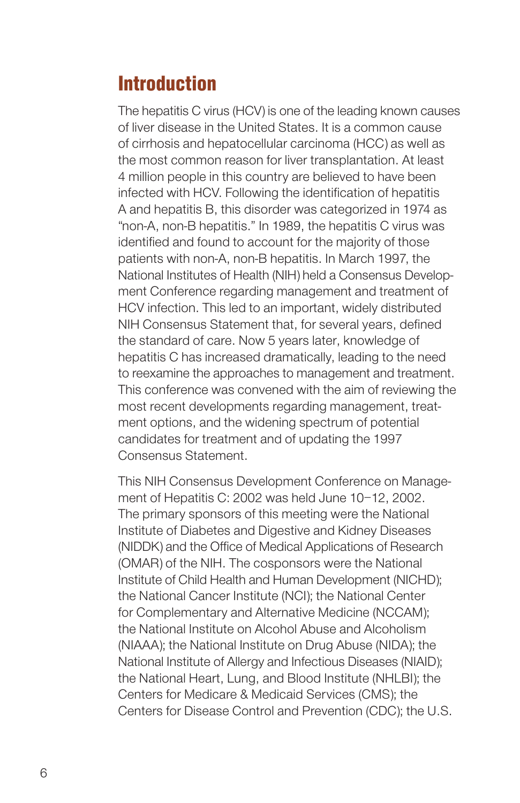# **Introduction**

The hepatitis C virus (HCV) is one of the leading known causes of liver disease in the United States. It is a common cause of cirrhosis and hepatocellular carcinoma (HCC) as well as the most common reason for liver transplantation. At least 4 million people in this country are believed to have been infected with HCV. Following the identification of hepatitis A and hepatitis B, this disorder was categorized in 1974 as "non-A, non-B hepatitis." In 1989, the hepatitis C virus was identified and found to account for the majority of those patients with non-A, non-B hepatitis. In March 1997, the National Institutes of Health (NIH) held a Consensus Development Conference regarding management and treatment of HCV infection. This led to an important, widely distributed NIH Consensus Statement that, for several years, defined the standard of care. Now 5 years later, knowledge of hepatitis C has increased dramatically, leading to the need to reexamine the approaches to management and treatment. This conference was convened with the aim of reviewing the most recent developments regarding management, treatment options, and the widening spectrum of potential candidates for treatment and of updating the 1997 Consensus Statement.

This NIH Consensus Development Conference on Management of Hepatitis C: 2002 was held June 10–12, 2002. The primary sponsors of this meeting were the National Institute of Diabetes and Digestive and Kidney Diseases (NIDDK) and the Office of Medical Applications of Research (OMAR) of the NIH. The cosponsors were the National Institute of Child Health and Human Development (NICHD); the National Cancer Institute (NCI); the National Center for Complementary and Alternative Medicine (NCCAM); the National Institute on Alcohol Abuse and Alcoholism (NIAAA); the National Institute on Drug Abuse (NIDA); the National Institute of Allergy and Infectious Diseases (NIAID); the National Heart, Lung, and Blood Institute (NHLBI); the Centers for Medicare & Medicaid Services (CMS); the Centers for Disease Control and Prevention (CDC); the U.S.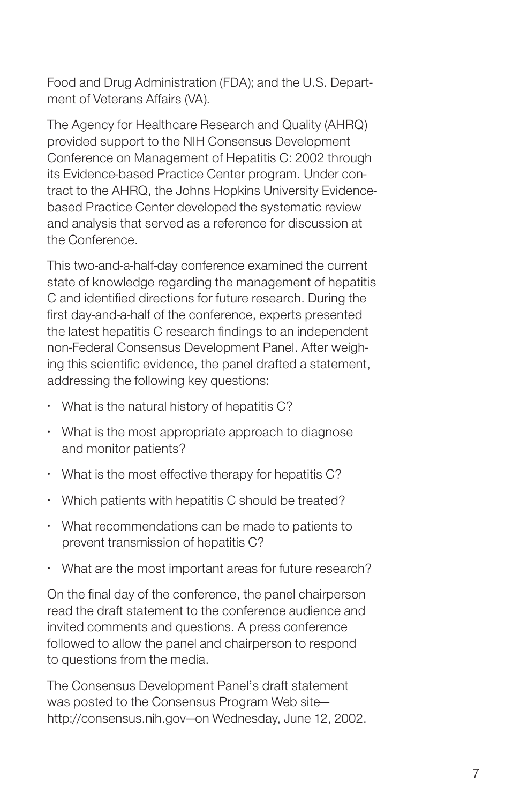Food and Drug Administration (FDA); and the U.S. Department of Veterans Affairs (VA).

The Agency for Healthcare Research and Quality (AHRQ) provided support to the NIH Consensus Development Conference on Management of Hepatitis C: 2002 through its Evidence-based Practice Center program. Under contract to the AHRQ, the Johns Hopkins University Evidencebased Practice Center developed the systematic review and analysis that served as a reference for discussion at the Conference.

This two-and-a-half-day conference examined the current state of knowledge regarding the management of hepatitis C and identified directions for future research. During the first day-and-a-half of the conference, experts presented the latest hepatitis C research findings to an independent non-Federal Consensus Development Panel. After weighing this scientific evidence, the panel drafted a statement, addressing the following key questions:

- What is the natural history of hepatitis C?
- What is the most appropriate approach to diagnose and monitor patients?
- What is the most effective therapy for hepatitis C?
- Which patients with hepatitis C should be treated?
- What recommendations can be made to patients to prevent transmission of hepatitis C?
- What are the most important areas for future research?

On the final day of the conference, the panel chairperson read the draft statement to the conference audience and invited comments and questions. A press conference followed to allow the panel and chairperson to respond to questions from the media.

The Consensus Development Panel's draft statement was posted to the Consensus Program Web site http://consensus.nih.gov—on Wednesday, June 12, 2002.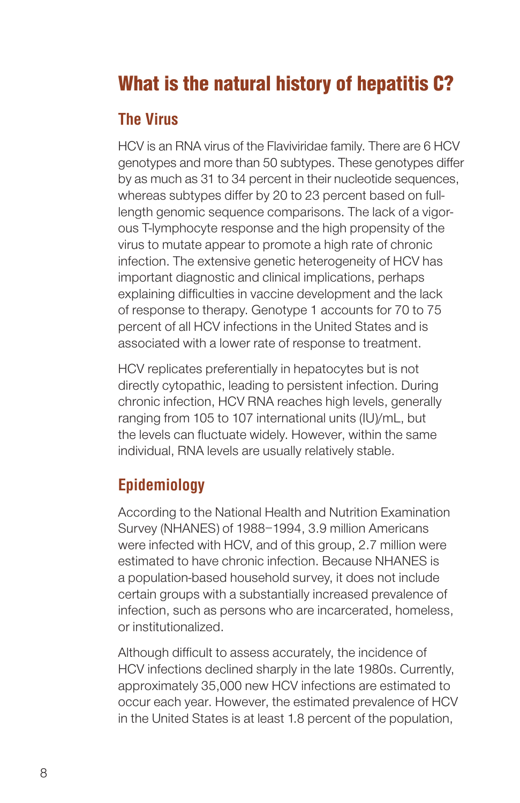# **What is the natural history of hepatitis C?**

## **The Virus**

HCV is an RNA virus of the Flaviviridae family. There are 6 HCV genotypes and more than 50 subtypes. These genotypes differ by as much as 31 to 34 percent in their nucleotide sequences, whereas subtypes differ by 20 to 23 percent based on fulllength genomic sequence comparisons. The lack of a vigorous T-lymphocyte response and the high propensity of the virus to mutate appear to promote a high rate of chronic infection. The extensive genetic heterogeneity of HCV has important diagnostic and clinical implications, perhaps explaining difficulties in vaccine development and the lack of response to therapy. Genotype 1 accounts for 70 to 75 percent of all HCV infections in the United States and is associated with a lower rate of response to treatment.

HCV replicates preferentially in hepatocytes but is not directly cytopathic, leading to persistent infection. During chronic infection, HCV RNA reaches high levels, generally ranging from 105 to 107 international units (IU)/mL, but the levels can fluctuate widely. However, within the same individual, RNA levels are usually relatively stable.

## **Epidemiology**

According to the National Health and Nutrition Examination Survey (NHANES) of 1988–1994, 3.9 million Americans were infected with HCV, and of this group, 2.7 million were estimated to have chronic infection. Because NHANES is a population-based household survey, it does not include certain groups with a substantially increased prevalence of infection, such as persons who are incarcerated, homeless, or institutionalized.

Although difficult to assess accurately, the incidence of HCV infections declined sharply in the late 1980s. Currently, approximately 35,000 new HCV infections are estimated to occur each year. However, the estimated prevalence of HCV in the United States is at least 1.8 percent of the population,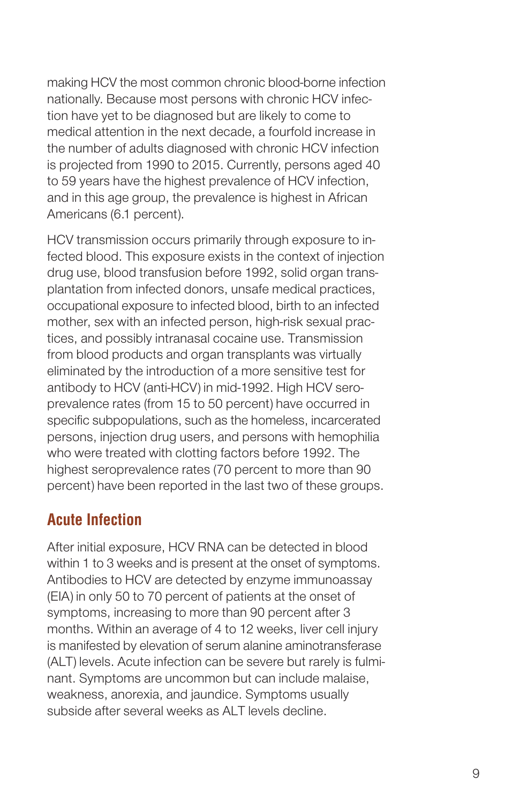making HCV the most common chronic blood-borne infection nationally. Because most persons with chronic HCV infection have yet to be diagnosed but are likely to come to medical attention in the next decade, a fourfold increase in the number of adults diagnosed with chronic HCV infection is projected from 1990 to 2015. Currently, persons aged 40 to 59 years have the highest prevalence of HCV infection, and in this age group, the prevalence is highest in African Americans (6.1 percent).

HCV transmission occurs primarily through exposure to infected blood. This exposure exists in the context of injection drug use, blood transfusion before 1992, solid organ transplantation from infected donors, unsafe medical practices, occupational exposure to infected blood, birth to an infected mother, sex with an infected person, high-risk sexual practices, and possibly intranasal cocaine use. Transmission from blood products and organ transplants was virtually eliminated by the introduction of a more sensitive test for antibody to HCV (anti-HCV) in mid-1992. High HCV seroprevalence rates (from 15 to 50 percent) have occurred in specific subpopulations, such as the homeless, incarcerated persons, injection drug users, and persons with hemophilia who were treated with clotting factors before 1992. The highest seroprevalence rates (70 percent to more than 90 percent) have been reported in the last two of these groups.

## **Acute Infection**

After initial exposure, HCV RNA can be detected in blood within 1 to 3 weeks and is present at the onset of symptoms. Antibodies to HCV are detected by enzyme immunoassay (EIA) in only 50 to 70 percent of patients at the onset of symptoms, increasing to more than 90 percent after 3 months. Within an average of 4 to 12 weeks, liver cell injury is manifested by elevation of serum alanine aminotransferase (ALT) levels. Acute infection can be severe but rarely is fulminant. Symptoms are uncommon but can include malaise, weakness, anorexia, and jaundice. Symptoms usually subside after several weeks as ALT levels decline.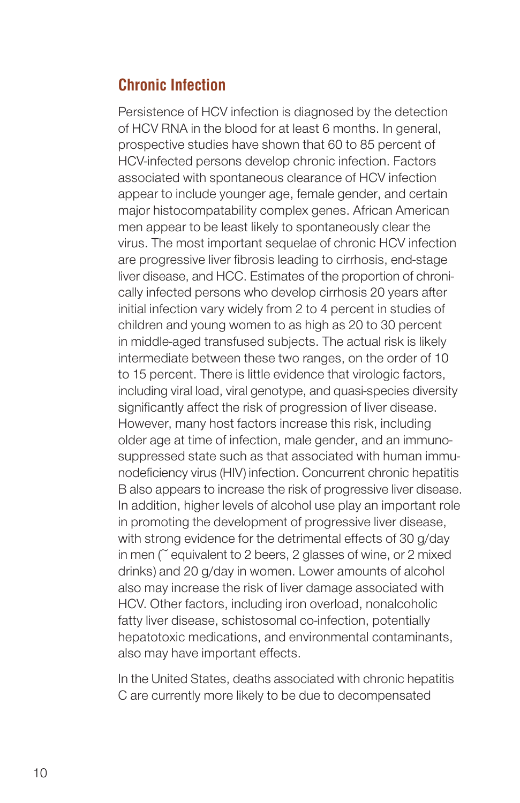## **Chronic Infection**

Persistence of HCV infection is diagnosed by the detection of HCV RNA in the blood for at least 6 months. In general, prospective studies have shown that 60 to 85 percent of HCV-infected persons develop chronic infection. Factors associated with spontaneous clearance of HCV infection appear to include younger age, female gender, and certain major histocompatability complex genes. African American men appear to be least likely to spontaneously clear the virus. The most important sequelae of chronic HCV infection are progressive liver fibrosis leading to cirrhosis, end-stage liver disease, and HCC. Estimates of the proportion of chronically infected persons who develop cirrhosis 20 years after initial infection vary widely from 2 to 4 percent in studies of children and young women to as high as 20 to 30 percent in middle-aged transfused subjects. The actual risk is likely intermediate between these two ranges, on the order of 10 to 15 percent. There is little evidence that virologic factors, including viral load, viral genotype, and quasi-species diversity significantly affect the risk of progression of liver disease. However, many host factors increase this risk, including older age at time of infection, male gender, and an immunosuppressed state such as that associated with human immunodeficiency virus (HIV) infection. Concurrent chronic hepatitis B also appears to increase the risk of progressive liver disease. In addition, higher levels of alcohol use play an important role in promoting the development of progressive liver disease, with strong evidence for the detrimental effects of 30 g/day in men  $\sim$  equivalent to 2 beers, 2 glasses of wine, or 2 mixed drinks) and 20 g/day in women. Lower amounts of alcohol also may increase the risk of liver damage associated with HCV. Other factors, including iron overload, nonalcoholic fatty liver disease, schistosomal co-infection, potentially hepatotoxic medications, and environmental contaminants, also may have important effects.

In the United States, deaths associated with chronic hepatitis C are currently more likely to be due to decompensated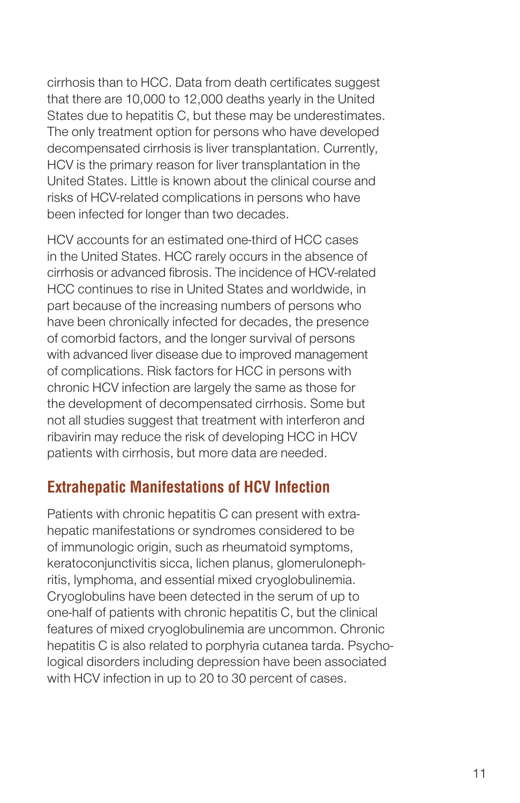cirrhosis than to HCC. Data from death certificates suggest that there are 10,000 to 12,000 deaths yearly in the United States due to hepatitis C, but these may be underestimates. The only treatment option for persons who have developed decompensated cirrhosis is liver transplantation. Currently, HCV is the primary reason for liver transplantation in the United States. Little is known about the clinical course and risks of HCV-related complications in persons who have been infected for longer than two decades.

HCV accounts for an estimated one-third of HCC cases in the United States. HCC rarely occurs in the absence of cirrhosis or advanced fibrosis. The incidence of HCV-related HCC continues to rise in United States and worldwide, in part because of the increasing numbers of persons who have been chronically infected for decades, the presence of comorbid factors, and the longer survival of persons with advanced liver disease due to improved management of complications. Risk factors for HCC in persons with chronic HCV infection are largely the same as those for the development of decompensated cirrhosis. Some but not all studies suggest that treatment with interferon and ribavirin may reduce the risk of developing HCC in HCV patients with cirrhosis, but more data are needed.

## **Extrahepatic Manifestations of HCV Infection**

Patients with chronic hepatitis C can present with extrahepatic manifestations or syndromes considered to be of immunologic origin, such as rheumatoid symptoms, keratoconjunctivitis sicca, lichen planus, glomerulonephritis, lymphoma, and essential mixed cryoglobulinemia. Cryoglobulins have been detected in the serum of up to one-half of patients with chronic hepatitis C, but the clinical features of mixed cryoglobulinemia are uncommon. Chronic hepatitis C is also related to porphyria cutanea tarda. Psychological disorders including depression have been associated with HCV infection in up to 20 to 30 percent of cases.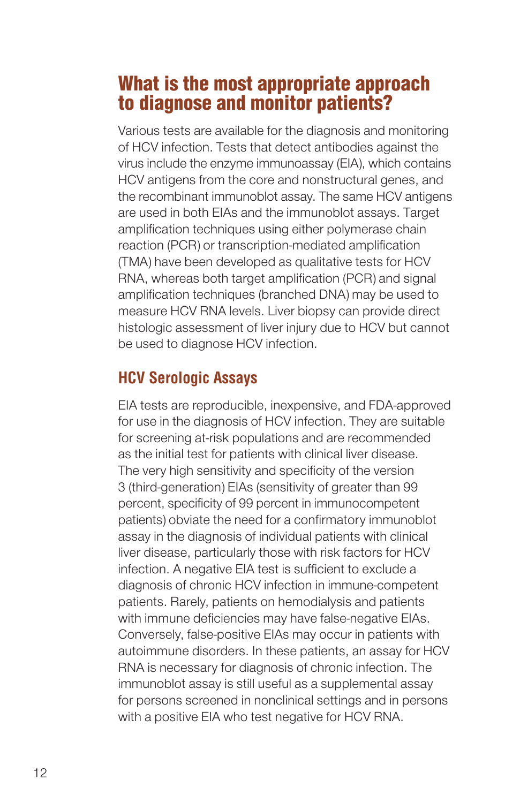## **What is the most appropriate approach to diagnose and monitor patients?**

Various tests are available for the diagnosis and monitoring of HCV infection. Tests that detect antibodies against the virus include the enzyme immunoassay (EIA), which contains HCV antigens from the core and nonstructural genes, and the recombinant immunoblot assay. The same HCV antigens are used in both EIAs and the immunoblot assays. Target amplification techniques using either polymerase chain reaction (PCR) or transcription-mediated amplification (TMA) have been developed as qualitative tests for HCV RNA, whereas both target amplification (PCR) and signal amplification techniques (branched DNA) may be used to measure HCV RNA levels. Liver biopsy can provide direct histologic assessment of liver injury due to HCV but cannot be used to diagnose HCV infection.

## **HCV Serologic Assays**

EIA tests are reproducible, inexpensive, and FDA-approved for use in the diagnosis of HCV infection. They are suitable for screening at-risk populations and are recommended as the initial test for patients with clinical liver disease. The very high sensitivity and specificity of the version 3 (third-generation) EIAs (sensitivity of greater than 99 percent, specificity of 99 percent in immunocompetent patients) obviate the need for a confirmatory immunoblot assay in the diagnosis of individual patients with clinical liver disease, particularly those with risk factors for HCV infection. A negative EIA test is sufficient to exclude a diagnosis of chronic HCV infection in immune-competent patients. Rarely, patients on hemodialysis and patients with immune deficiencies may have false-negative EIAs. Conversely, false-positive EIAs may occur in patients with autoimmune disorders. In these patients, an assay for HCV RNA is necessary for diagnosis of chronic infection. The immunoblot assay is still useful as a supplemental assay for persons screened in nonclinical settings and in persons with a positive EIA who test negative for HCV RNA.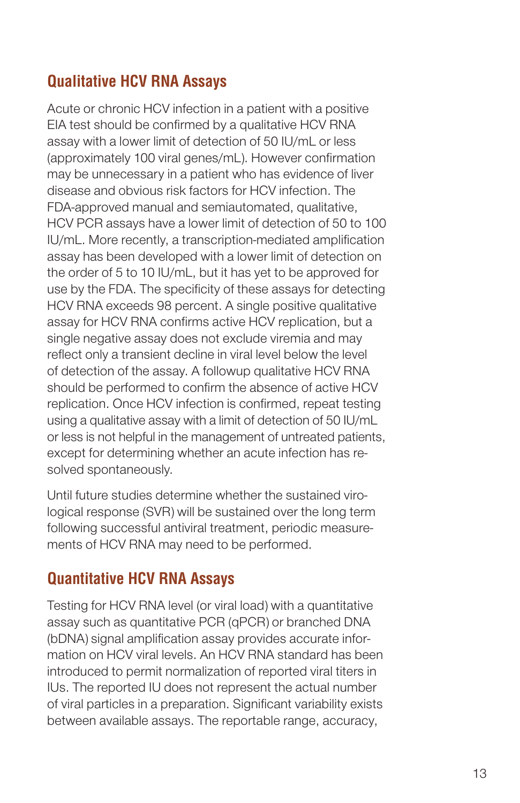## **Qualitative HCV RNA Assays**

Acute or chronic HCV infection in a patient with a positive EIA test should be confirmed by a qualitative HCV RNA assay with a lower limit of detection of 50 IU/mL or less (approximately 100 viral genes/mL). However confirmation may be unnecessary in a patient who has evidence of liver disease and obvious risk factors for HCV infection. The FDA-approved manual and semiautomated, qualitative, HCV PCR assays have a lower limit of detection of 50 to 100 IU/mL. More recently, a transcription-mediated amplification assay has been developed with a lower limit of detection on the order of 5 to 10 IU/mL, but it has yet to be approved for use by the FDA. The specificity of these assays for detecting HCV RNA exceeds 98 percent. A single positive qualitative assay for HCV RNA confirms active HCV replication, but a single negative assay does not exclude viremia and may reflect only a transient decline in viral level below the level of detection of the assay. A followup qualitative HCV RNA should be performed to confirm the absence of active HCV replication. Once HCV infection is confirmed, repeat testing using a qualitative assay with a limit of detection of 50 IU/mL or less is not helpful in the management of untreated patients, except for determining whether an acute infection has resolved spontaneously.

Until future studies determine whether the sustained virological response (SVR) will be sustained over the long term following successful antiviral treatment, periodic measurements of HCV RNA may need to be performed.

## **Quantitative HCV RNA Assays**

Testing for HCV RNA level (or viral load) with a quantitative assay such as quantitative PCR (qPCR) or branched DNA (bDNA) signal amplification assay provides accurate information on HCV viral levels. An HCV RNA standard has been introduced to permit normalization of reported viral titers in IUs. The reported IU does not represent the actual number of viral particles in a preparation. Significant variability exists between available assays. The reportable range, accuracy,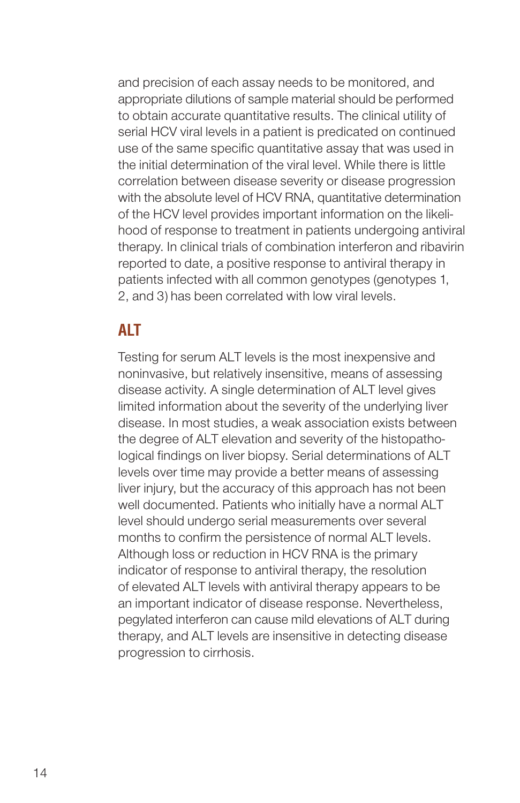and precision of each assay needs to be monitored, and appropriate dilutions of sample material should be performed to obtain accurate quantitative results. The clinical utility of serial HCV viral levels in a patient is predicated on continued use of the same specific quantitative assay that was used in the initial determination of the viral level. While there is little correlation between disease severity or disease progression with the absolute level of HCV RNA, quantitative determination of the HCV level provides important information on the likelihood of response to treatment in patients undergoing antiviral therapy. In clinical trials of combination interferon and ribavirin reported to date, a positive response to antiviral therapy in patients infected with all common genotypes (genotypes 1, 2, and 3) has been correlated with low viral levels.

## **ALT**

Testing for serum ALT levels is the most inexpensive and noninvasive, but relatively insensitive, means of assessing disease activity. A single determination of ALT level gives limited information about the severity of the underlying liver disease. In most studies, a weak association exists between the degree of ALT elevation and severity of the histopathological findings on liver biopsy. Serial determinations of ALT levels over time may provide a better means of assessing liver injury, but the accuracy of this approach has not been well documented. Patients who initially have a normal ALT level should undergo serial measurements over several months to confirm the persistence of normal ALT levels. Although loss or reduction in HCV RNA is the primary indicator of response to antiviral therapy, the resolution of elevated ALT levels with antiviral therapy appears to be an important indicator of disease response. Nevertheless, pegylated interferon can cause mild elevations of ALT during therapy, and ALT levels are insensitive in detecting disease progression to cirrhosis.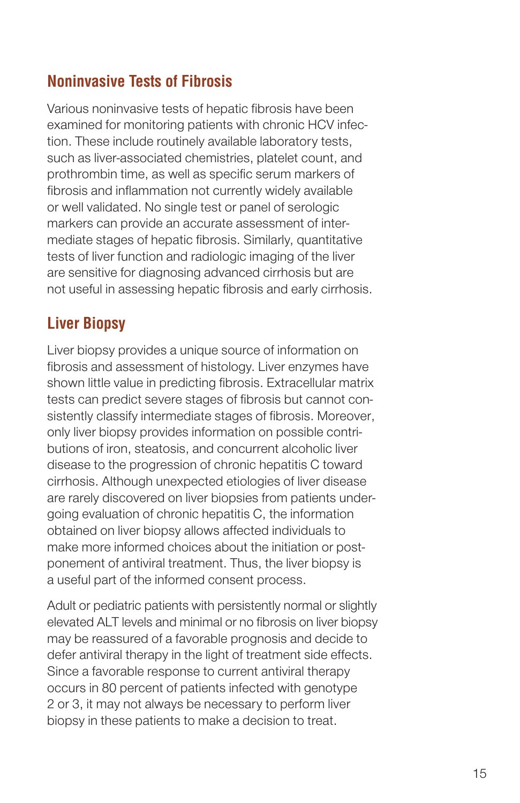## **Noninvasive Tests of Fibrosis**

Various noninvasive tests of hepatic fibrosis have been examined for monitoring patients with chronic HCV infection. These include routinely available laboratory tests, such as liver-associated chemistries, platelet count, and prothrombin time, as well as specific serum markers of fibrosis and inflammation not currently widely available or well validated. No single test or panel of serologic markers can provide an accurate assessment of intermediate stages of hepatic fibrosis. Similarly, quantitative tests of liver function and radiologic imaging of the liver are sensitive for diagnosing advanced cirrhosis but are not useful in assessing hepatic fibrosis and early cirrhosis.

## **Liver Biopsy**

Liver biopsy provides a unique source of information on fibrosis and assessment of histology. Liver enzymes have shown little value in predicting fibrosis. Extracellular matrix tests can predict severe stages of fibrosis but cannot consistently classify intermediate stages of fibrosis. Moreover, only liver biopsy provides information on possible contributions of iron, steatosis, and concurrent alcoholic liver disease to the progression of chronic hepatitis C toward cirrhosis. Although unexpected etiologies of liver disease are rarely discovered on liver biopsies from patients undergoing evaluation of chronic hepatitis C, the information obtained on liver biopsy allows affected individuals to make more informed choices about the initiation or postponement of antiviral treatment. Thus, the liver biopsy is a useful part of the informed consent process.

Adult or pediatric patients with persistently normal or slightly elevated ALT levels and minimal or no fibrosis on liver biopsy may be reassured of a favorable prognosis and decide to defer antiviral therapy in the light of treatment side effects. Since a favorable response to current antiviral therapy occurs in 80 percent of patients infected with genotype 2 or 3, it may not always be necessary to perform liver biopsy in these patients to make a decision to treat.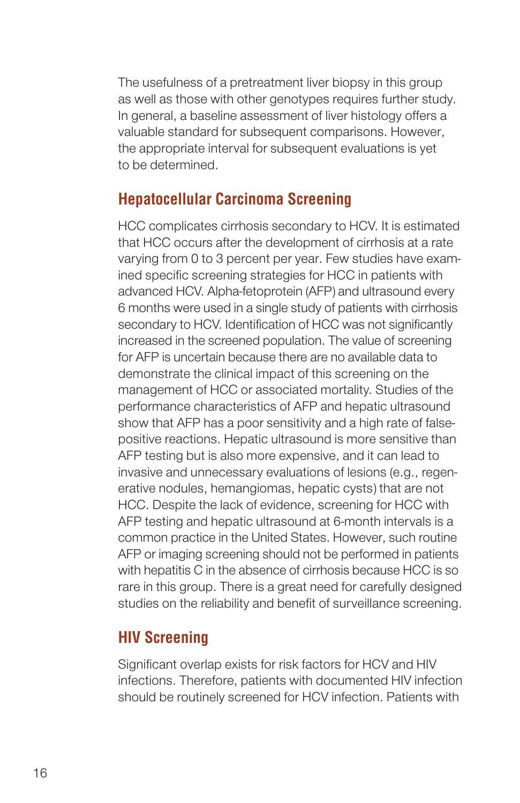The usefulness of a pretreatment liver biopsy in this group as well as those with other genotypes requires further study. In general, a baseline assessment of liver histology offers a valuable standard for subsequent comparisons. However, the appropriate interval for subsequent evaluations is yet to be determined.

## **Hepatocellular Carcinoma Screening**

HCC complicates cirrhosis secondary to HCV. It is estimated that HCC occurs after the development of cirrhosis at a rate varying from 0 to 3 percent per year. Few studies have examined specific screening strategies for HCC in patients with advanced HCV. Alpha-fetoprotein (AFP) and ultrasound every 6 months were used in a single study of patients with cirrhosis secondary to HCV. Identification of HCC was not significantly increased in the screened population. The value of screening for AFP is uncertain because there are no available data to demonstrate the clinical impact of this screening on the management of HCC or associated mortality. Studies of the performance characteristics of AFP and hepatic ultrasound show that AFP has a poor sensitivity and a high rate of falsepositive reactions. Hepatic ultrasound is more sensitive than AFP testing but is also more expensive, and it can lead to invasive and unnecessary evaluations of lesions (e.g., regenerative nodules, hemangiomas, hepatic cysts) that are not HCC. Despite the lack of evidence, screening for HCC with AFP testing and hepatic ultrasound at 6-month intervals is a common practice in the United States. However, such routine AFP or imaging screening should not be performed in patients with hepatitis C in the absence of cirrhosis because HCC is so rare in this group. There is a great need for carefully designed studies on the reliability and benefit of surveillance screening.

## **HIV Screening**

Significant overlap exists for risk factors for HCV and HIV infections. Therefore, patients with documented HIV infection should be routinely screened for HCV infection. Patients with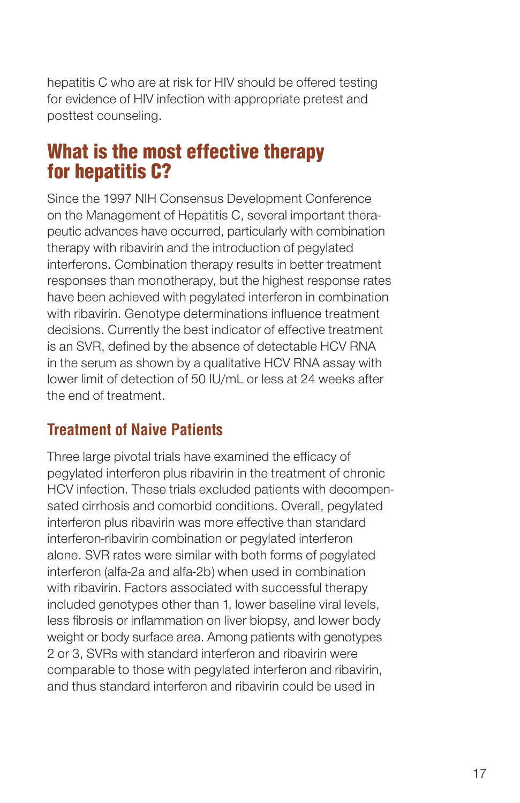hepatitis C who are at risk for HIV should be offered testing for evidence of HIV infection with appropriate pretest and posttest counseling.

## **What is the most effective therapy for hepatitis C?**

Since the 1997 NIH Consensus Development Conference on the Management of Hepatitis C, several important therapeutic advances have occurred, particularly with combination therapy with ribavirin and the introduction of pegylated interferons. Combination therapy results in better treatment responses than monotherapy, but the highest response rates have been achieved with pegylated interferon in combination with ribavirin. Genotype determinations influence treatment decisions. Currently the best indicator of effective treatment is an SVR, defined by the absence of detectable HCV RNA in the serum as shown by a qualitative HCV RNA assay with lower limit of detection of 50 IU/mL or less at 24 weeks after the end of treatment.

## **Treatment of Naive Patients**

Three large pivotal trials have examined the efficacy of pegylated interferon plus ribavirin in the treatment of chronic HCV infection. These trials excluded patients with decompensated cirrhosis and comorbid conditions. Overall, pegylated interferon plus ribavirin was more effective than standard interferon-ribavirin combination or pegylated interferon alone. SVR rates were similar with both forms of pegylated interferon (alfa-2a and alfa-2b) when used in combination with ribavirin. Factors associated with successful therapy included genotypes other than 1, lower baseline viral levels, less fibrosis or inflammation on liver biopsy, and lower body weight or body surface area. Among patients with genotypes 2 or 3, SVRs with standard interferon and ribavirin were comparable to those with pegylated interferon and ribavirin, and thus standard interferon and ribavirin could be used in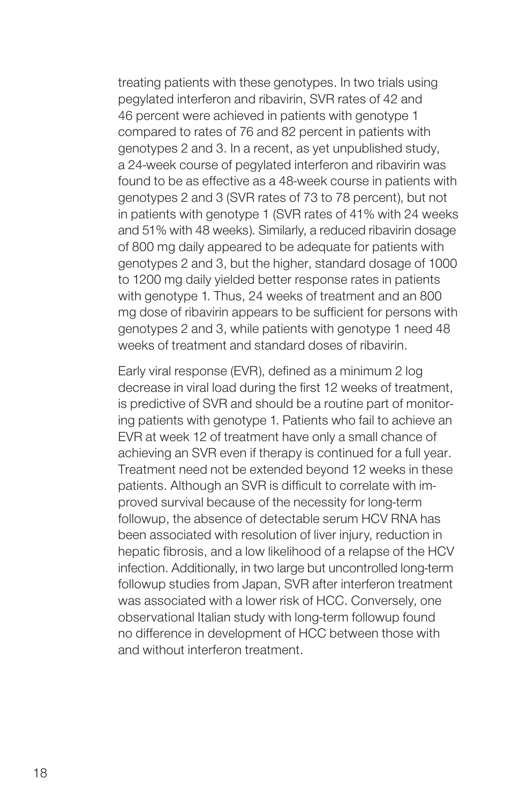treating patients with these genotypes. In two trials using pegylated interferon and ribavirin, SVR rates of 42 and 46 percent were achieved in patients with genotype 1 compared to rates of 76 and 82 percent in patients with genotypes 2 and 3. In a recent, as yet unpublished study, a 24-week course of pegylated interferon and ribavirin was found to be as effective as a 48-week course in patients with genotypes 2 and 3 (SVR rates of 73 to 78 percent), but not in patients with genotype 1 (SVR rates of 41% with 24 weeks and 51% with 48 weeks). Similarly, a reduced ribavirin dosage of 800 mg daily appeared to be adequate for patients with genotypes 2 and 3, but the higher, standard dosage of 1000 to 1200 mg daily yielded better response rates in patients with genotype 1. Thus, 24 weeks of treatment and an 800 mg dose of ribavirin appears to be sufficient for persons with genotypes 2 and 3, while patients with genotype 1 need 48 weeks of treatment and standard doses of ribavirin.

Early viral response (EVR), defined as a minimum 2 log decrease in viral load during the first 12 weeks of treatment, is predictive of SVR and should be a routine part of monitoring patients with genotype 1. Patients who fail to achieve an EVR at week 12 of treatment have only a small chance of achieving an SVR even if therapy is continued for a full year. Treatment need not be extended beyond 12 weeks in these patients. Although an SVR is difficult to correlate with improved survival because of the necessity for long-term followup, the absence of detectable serum HCV RNA has been associated with resolution of liver injury, reduction in hepatic fibrosis, and a low likelihood of a relapse of the HCV infection. Additionally, in two large but uncontrolled long-term followup studies from Japan, SVR after interferon treatment was associated with a lower risk of HCC. Conversely, one observational Italian study with long-term followup found no difference in development of HCC between those with and without interferon treatment.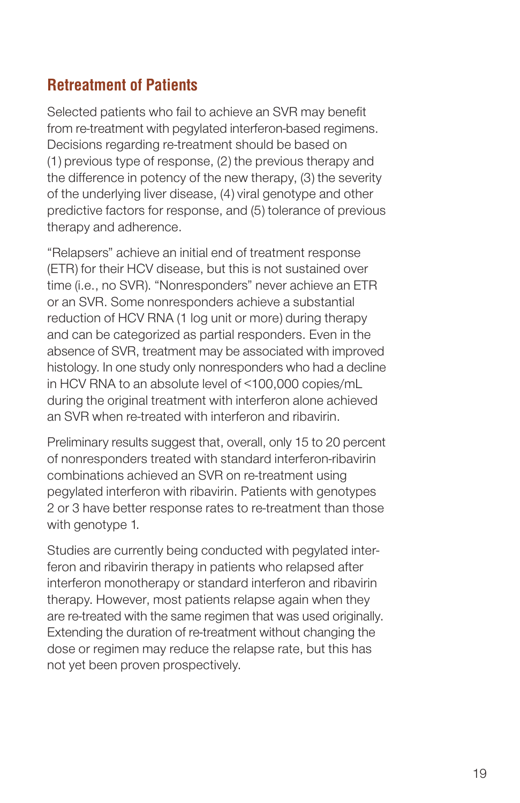## **Retreatment of Patients**

Selected patients who fail to achieve an SVR may benefit from re-treatment with pegylated interferon-based regimens. Decisions regarding re-treatment should be based on (1) previous type of response, (2) the previous therapy and the difference in potency of the new therapy, (3) the severity of the underlying liver disease, (4) viral genotype and other predictive factors for response, and (5) tolerance of previous therapy and adherence.

"Relapsers" achieve an initial end of treatment response (ETR) for their HCV disease, but this is not sustained over time (i.e., no SVR). "Nonresponders" never achieve an ETR or an SVR. Some nonresponders achieve a substantial reduction of HCV RNA (1 log unit or more) during therapy and can be categorized as partial responders. Even in the absence of SVR, treatment may be associated with improved histology. In one study only nonresponders who had a decline in HCV RNA to an absolute level of <100,000 copies/mL during the original treatment with interferon alone achieved an SVR when re-treated with interferon and ribavirin.

Preliminary results suggest that, overall, only 15 to 20 percent of nonresponders treated with standard interferon-ribavirin combinations achieved an SVR on re-treatment using pegylated interferon with ribavirin. Patients with genotypes 2 or 3 have better response rates to re-treatment than those with genotype 1.

Studies are currently being conducted with pegylated interferon and ribavirin therapy in patients who relapsed after interferon monotherapy or standard interferon and ribavirin therapy. However, most patients relapse again when they are re-treated with the same regimen that was used originally. Extending the duration of re-treatment without changing the dose or regimen may reduce the relapse rate, but this has not yet been proven prospectively.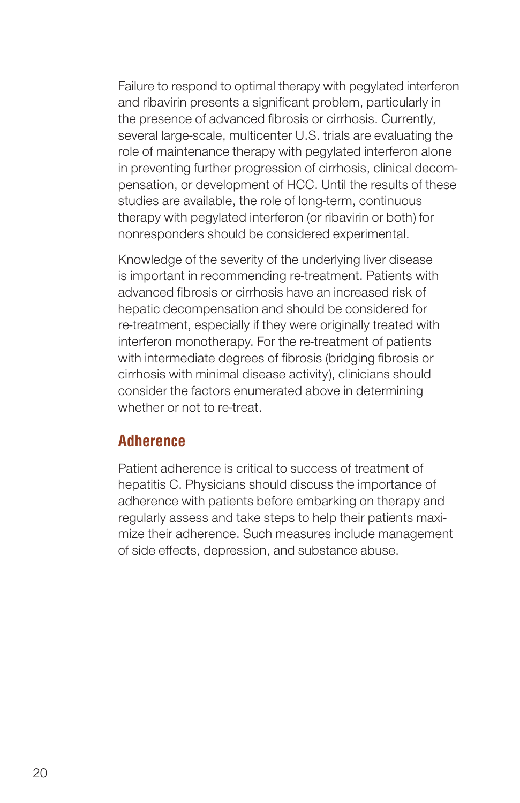Failure to respond to optimal therapy with pegylated interferon and ribavirin presents a significant problem, particularly in the presence of advanced fibrosis or cirrhosis. Currently, several large-scale, multicenter U.S. trials are evaluating the role of maintenance therapy with pegylated interferon alone in preventing further progression of cirrhosis, clinical decompensation, or development of HCC. Until the results of these studies are available, the role of long-term, continuous therapy with pegylated interferon (or ribavirin or both) for nonresponders should be considered experimental.

Knowledge of the severity of the underlying liver disease is important in recommending re-treatment. Patients with advanced fibrosis or cirrhosis have an increased risk of hepatic decompensation and should be considered for re-treatment, especially if they were originally treated with interferon monotherapy. For the re-treatment of patients with intermediate degrees of fibrosis (bridging fibrosis or cirrhosis with minimal disease activity), clinicians should consider the factors enumerated above in determining whether or not to re-treat.

## **Adherence**

Patient adherence is critical to success of treatment of hepatitis C. Physicians should discuss the importance of adherence with patients before embarking on therapy and regularly assess and take steps to help their patients maximize their adherence. Such measures include management of side effects, depression, and substance abuse.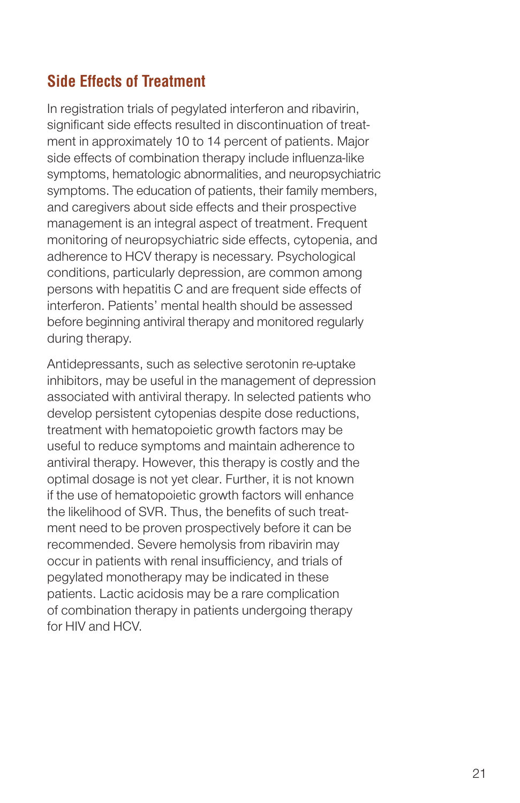## **Side Effects of Treatment**

In registration trials of pegylated interferon and ribavirin, significant side effects resulted in discontinuation of treatment in approximately 10 to 14 percent of patients. Major side effects of combination therapy include influenza-like symptoms, hematologic abnormalities, and neuropsychiatric symptoms. The education of patients, their family members, and caregivers about side effects and their prospective management is an integral aspect of treatment. Frequent monitoring of neuropsychiatric side effects, cytopenia, and adherence to HCV therapy is necessary. Psychological conditions, particularly depression, are common among persons with hepatitis C and are frequent side effects of interferon. Patients' mental health should be assessed before beginning antiviral therapy and monitored regularly during therapy.

Antidepressants, such as selective serotonin re-uptake inhibitors, may be useful in the management of depression associated with antiviral therapy. In selected patients who develop persistent cytopenias despite dose reductions, treatment with hematopoietic growth factors may be useful to reduce symptoms and maintain adherence to antiviral therapy. However, this therapy is costly and the optimal dosage is not yet clear. Further, it is not known if the use of hematopoietic growth factors will enhance the likelihood of SVR. Thus, the benefits of such treatment need to be proven prospectively before it can be recommended. Severe hemolysis from ribavirin may occur in patients with renal insufficiency, and trials of pegylated monotherapy may be indicated in these patients. Lactic acidosis may be a rare complication of combination therapy in patients undergoing therapy for HIV and HCV.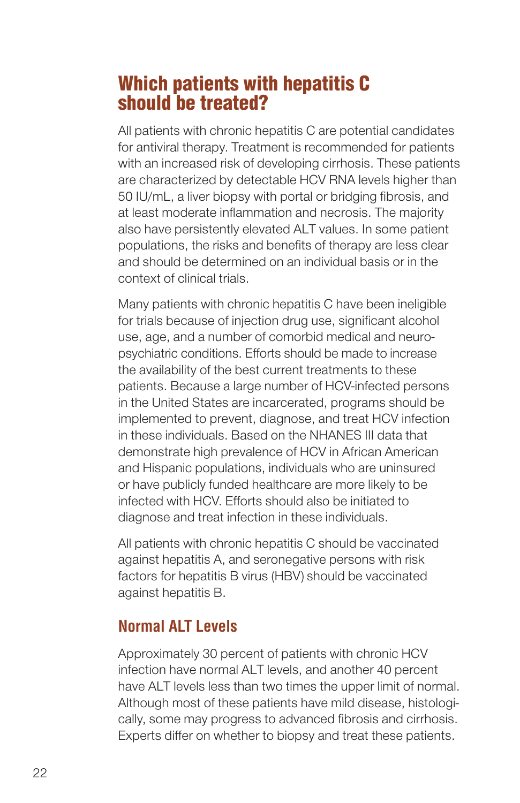## **Which patients with hepatitis C should be treated?**

All patients with chronic hepatitis C are potential candidates for antiviral therapy. Treatment is recommended for patients with an increased risk of developing cirrhosis. These patients are characterized by detectable HCV RNA levels higher than 50 IU/mL, a liver biopsy with portal or bridging fibrosis, and at least moderate inflammation and necrosis. The majority also have persistently elevated ALT values. In some patient populations, the risks and benefits of therapy are less clear and should be determined on an individual basis or in the context of clinical trials.

Many patients with chronic hepatitis C have been ineligible for trials because of injection drug use, significant alcohol use, age, and a number of comorbid medical and neuropsychiatric conditions. Efforts should be made to increase the availability of the best current treatments to these patients. Because a large number of HCV-infected persons in the United States are incarcerated, programs should be implemented to prevent, diagnose, and treat HCV infection in these individuals. Based on the NHANES III data that demonstrate high prevalence of HCV in African American and Hispanic populations, individuals who are uninsured or have publicly funded healthcare are more likely to be infected with HCV. Efforts should also be initiated to diagnose and treat infection in these individuals.

All patients with chronic hepatitis C should be vaccinated against hepatitis A, and seronegative persons with risk factors for hepatitis B virus (HBV) should be vaccinated against hepatitis B.

## **Normal ALT Levels**

Approximately 30 percent of patients with chronic HCV infection have normal ALT levels, and another 40 percent have ALT levels less than two times the upper limit of normal. Although most of these patients have mild disease, histologically, some may progress to advanced fibrosis and cirrhosis. Experts differ on whether to biopsy and treat these patients.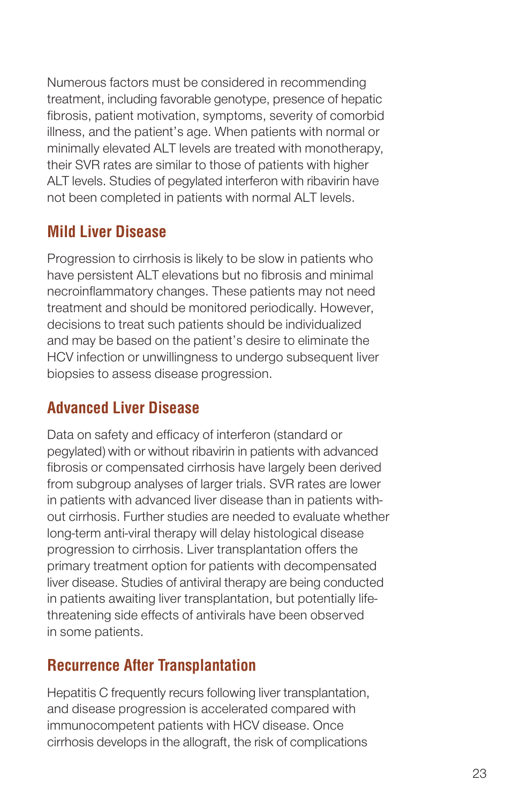Numerous factors must be considered in recommending treatment, including favorable genotype, presence of hepatic fibrosis, patient motivation, symptoms, severity of comorbid illness, and the patient's age. When patients with normal or minimally elevated ALT levels are treated with monotherapy, their SVR rates are similar to those of patients with higher ALT levels. Studies of pegylated interferon with ribavirin have not been completed in patients with normal ALT levels.

## **Mild Liver Disease**

Progression to cirrhosis is likely to be slow in patients who have persistent ALT elevations but no fibrosis and minimal necroinflammatory changes. These patients may not need treatment and should be monitored periodically. However, decisions to treat such patients should be individualized and may be based on the patient's desire to eliminate the HCV infection or unwillingness to undergo subsequent liver biopsies to assess disease progression.

## **Advanced Liver Disease**

Data on safety and efficacy of interferon (standard or pegylated) with or without ribavirin in patients with advanced fibrosis or compensated cirrhosis have largely been derived from subgroup analyses of larger trials. SVR rates are lower in patients with advanced liver disease than in patients without cirrhosis. Further studies are needed to evaluate whether long-term anti-viral therapy will delay histological disease progression to cirrhosis. Liver transplantation offers the primary treatment option for patients with decompensated liver disease. Studies of antiviral therapy are being conducted in patients awaiting liver transplantation, but potentially lifethreatening side effects of antivirals have been observed in some patients.

## **Recurrence After Transplantation**

Hepatitis C frequently recurs following liver transplantation, and disease progression is accelerated compared with immunocompetent patients with HCV disease. Once cirrhosis develops in the allograft, the risk of complications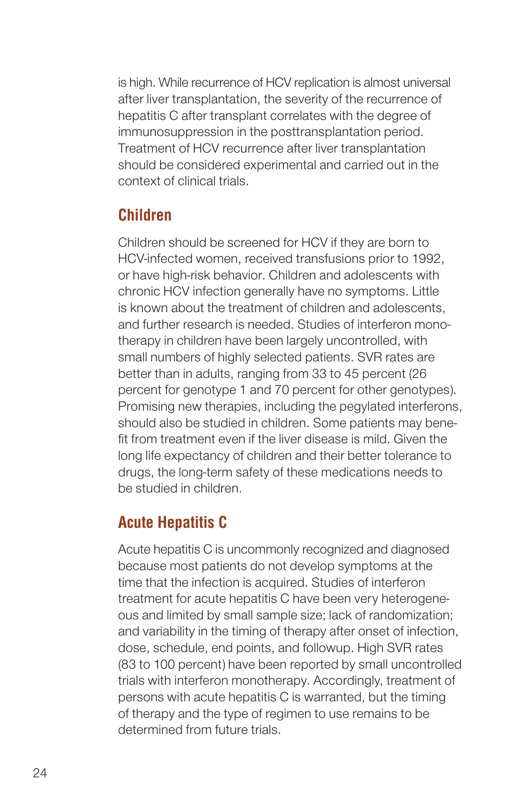is high. While recurrence of HCV replication is almost universal after liver transplantation, the severity of the recurrence of hepatitis C after transplant correlates with the degree of immunosuppression in the posttransplantation period. Treatment of HCV recurrence after liver transplantation should be considered experimental and carried out in the context of clinical trials.

## **Children**

Children should be screened for HCV if they are born to HCV-infected women, received transfusions prior to 1992, or have high-risk behavior. Children and adolescents with chronic HCV infection generally have no symptoms. Little is known about the treatment of children and adolescents, and further research is needed. Studies of interferon monotherapy in children have been largely uncontrolled, with small numbers of highly selected patients. SVR rates are better than in adults, ranging from 33 to 45 percent (26 percent for genotype 1 and 70 percent for other genotypes). Promising new therapies, including the pegylated interferons, should also be studied in children. Some patients may benefit from treatment even if the liver disease is mild. Given the long life expectancy of children and their better tolerance to drugs, the long-term safety of these medications needs to be studied in children.

## **Acute Hepatitis C**

Acute hepatitis C is uncommonly recognized and diagnosed because most patients do not develop symptoms at the time that the infection is acquired. Studies of interferon treatment for acute hepatitis C have been very heterogeneous and limited by small sample size; lack of randomization; and variability in the timing of therapy after onset of infection, dose, schedule, end points, and followup. High SVR rates (83 to 100 percent) have been reported by small uncontrolled trials with interferon monotherapy. Accordingly, treatment of persons with acute hepatitis C is warranted, but the timing of therapy and the type of regimen to use remains to be determined from future trials.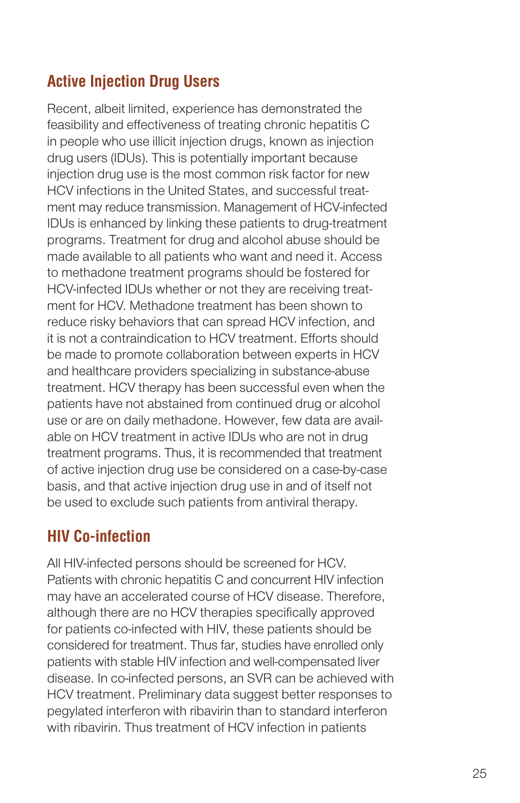## **Active Injection Drug Users**

Recent, albeit limited, experience has demonstrated the feasibility and effectiveness of treating chronic hepatitis C in people who use illicit injection drugs, known as injection drug users (IDUs). This is potentially important because injection drug use is the most common risk factor for new HCV infections in the United States, and successful treatment may reduce transmission. Management of HCV-infected IDUs is enhanced by linking these patients to drug-treatment programs. Treatment for drug and alcohol abuse should be made available to all patients who want and need it. Access to methadone treatment programs should be fostered for HCV-infected IDUs whether or not they are receiving treatment for HCV. Methadone treatment has been shown to reduce risky behaviors that can spread HCV infection, and it is not a contraindication to HCV treatment. Efforts should be made to promote collaboration between experts in HCV and healthcare providers specializing in substance-abuse treatment. HCV therapy has been successful even when the patients have not abstained from continued drug or alcohol use or are on daily methadone. However, few data are available on HCV treatment in active IDUs who are not in drug treatment programs. Thus, it is recommended that treatment of active injection drug use be considered on a case-by-case basis, and that active injection drug use in and of itself not be used to exclude such patients from antiviral therapy.

## **HIV Co-infection**

All HIV-infected persons should be screened for HCV. Patients with chronic hepatitis C and concurrent HIV infection may have an accelerated course of HCV disease. Therefore, although there are no HCV therapies specifically approved for patients co-infected with HIV, these patients should be considered for treatment. Thus far, studies have enrolled only patients with stable HIV infection and well-compensated liver disease. In co-infected persons, an SVR can be achieved with HCV treatment. Preliminary data suggest better responses to pegylated interferon with ribavirin than to standard interferon with ribavirin. Thus treatment of HCV infection in patients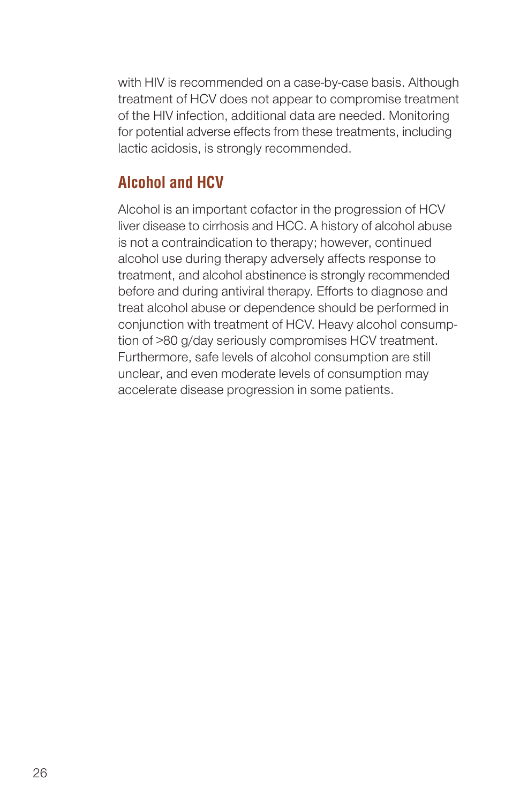with HIV is recommended on a case-by-case basis. Although treatment of HCV does not appear to compromise treatment of the HIV infection, additional data are needed. Monitoring for potential adverse effects from these treatments, including lactic acidosis, is strongly recommended.

## **Alcohol and HCV**

Alcohol is an important cofactor in the progression of HCV liver disease to cirrhosis and HCC. A history of alcohol abuse is not a contraindication to therapy; however, continued alcohol use during therapy adversely affects response to treatment, and alcohol abstinence is strongly recommended before and during antiviral therapy. Efforts to diagnose and treat alcohol abuse or dependence should be performed in conjunction with treatment of HCV. Heavy alcohol consumption of >80 g/day seriously compromises HCV treatment. Furthermore, safe levels of alcohol consumption are still unclear, and even moderate levels of consumption may accelerate disease progression in some patients.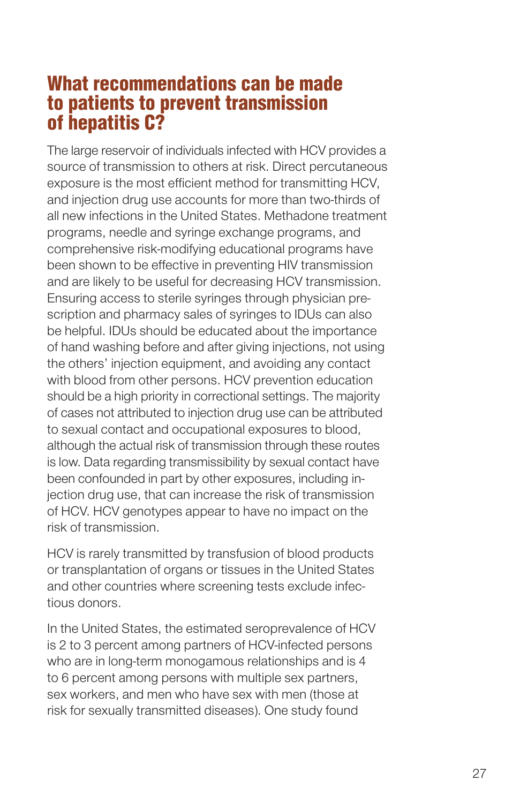## **What recommendations can be made to patients to prevent transmission of hepatitis C?**

The large reservoir of individuals infected with HCV provides a source of transmission to others at risk. Direct percutaneous exposure is the most efficient method for transmitting HCV, and injection drug use accounts for more than two-thirds of all new infections in the United States. Methadone treatment programs, needle and syringe exchange programs, and comprehensive risk-modifying educational programs have been shown to be effective in preventing HIV transmission and are likely to be useful for decreasing HCV transmission. Ensuring access to sterile syringes through physician prescription and pharmacy sales of syringes to IDUs can also be helpful. IDUs should be educated about the importance of hand washing before and after giving injections, not using the others' injection equipment, and avoiding any contact with blood from other persons. HCV prevention education should be a high priority in correctional settings. The majority of cases not attributed to injection drug use can be attributed to sexual contact and occupational exposures to blood, although the actual risk of transmission through these routes is low. Data regarding transmissibility by sexual contact have been confounded in part by other exposures, including injection drug use, that can increase the risk of transmission of HCV. HCV genotypes appear to have no impact on the risk of transmission.

HCV is rarely transmitted by transfusion of blood products or transplantation of organs or tissues in the United States and other countries where screening tests exclude infectious donors.

In the United States, the estimated seroprevalence of HCV is 2 to 3 percent among partners of HCV-infected persons who are in long-term monogamous relationships and is 4 to 6 percent among persons with multiple sex partners, sex workers, and men who have sex with men (those at risk for sexually transmitted diseases). One study found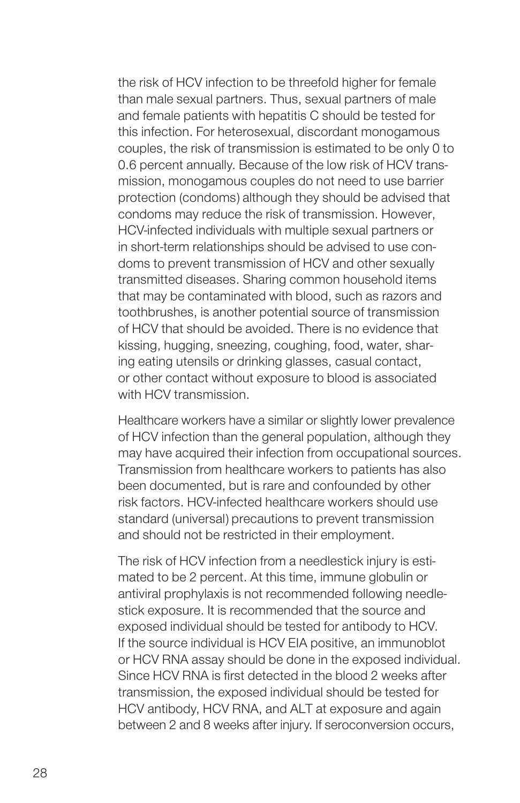the risk of HCV infection to be threefold higher for female than male sexual partners. Thus, sexual partners of male and female patients with hepatitis C should be tested for this infection. For heterosexual, discordant monogamous couples, the risk of transmission is estimated to be only 0 to 0.6 percent annually. Because of the low risk of HCV transmission, monogamous couples do not need to use barrier protection (condoms) although they should be advised that condoms may reduce the risk of transmission. However, HCV-infected individuals with multiple sexual partners or in short-term relationships should be advised to use condoms to prevent transmission of HCV and other sexually transmitted diseases. Sharing common household items that may be contaminated with blood, such as razors and toothbrushes, is another potential source of transmission of HCV that should be avoided. There is no evidence that kissing, hugging, sneezing, coughing, food, water, sharing eating utensils or drinking glasses, casual contact, or other contact without exposure to blood is associated with HCV transmission.

Healthcare workers have a similar or slightly lower prevalence of HCV infection than the general population, although they may have acquired their infection from occupational sources. Transmission from healthcare workers to patients has also been documented, but is rare and confounded by other risk factors. HCV-infected healthcare workers should use standard (universal) precautions to prevent transmission and should not be restricted in their employment.

The risk of HCV infection from a needlestick injury is estimated to be 2 percent. At this time, immune globulin or antiviral prophylaxis is not recommended following needlestick exposure. It is recommended that the source and exposed individual should be tested for antibody to HCV. If the source individual is HCV EIA positive, an immunoblot or HCV RNA assay should be done in the exposed individual. Since HCV RNA is first detected in the blood 2 weeks after transmission, the exposed individual should be tested for HCV antibody, HCV RNA, and ALT at exposure and again between 2 and 8 weeks after injury. If seroconversion occurs,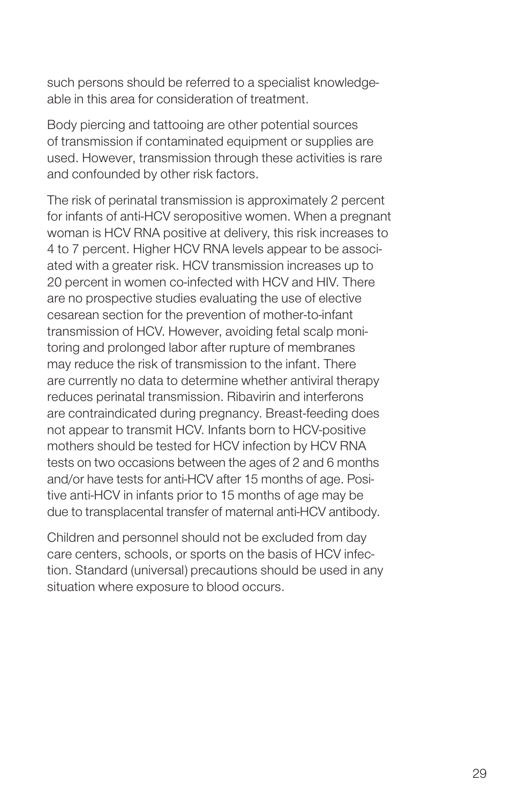such persons should be referred to a specialist knowledgeable in this area for consideration of treatment.

Body piercing and tattooing are other potential sources of transmission if contaminated equipment or supplies are used. However, transmission through these activities is rare and confounded by other risk factors.

The risk of perinatal transmission is approximately 2 percent for infants of anti-HCV seropositive women. When a pregnant woman is HCV RNA positive at delivery, this risk increases to 4 to 7 percent. Higher HCV RNA levels appear to be associated with a greater risk. HCV transmission increases up to 20 percent in women co-infected with HCV and HIV. There are no prospective studies evaluating the use of elective cesarean section for the prevention of mother-to-infant transmission of HCV. However, avoiding fetal scalp monitoring and prolonged labor after rupture of membranes may reduce the risk of transmission to the infant. There are currently no data to determine whether antiviral therapy reduces perinatal transmission. Ribavirin and interferons are contraindicated during pregnancy. Breast-feeding does not appear to transmit HCV. Infants born to HCV-positive mothers should be tested for HCV infection by HCV RNA tests on two occasions between the ages of 2 and 6 months and/or have tests for anti-HCV after 15 months of age. Positive anti-HCV in infants prior to 15 months of age may be due to transplacental transfer of maternal anti-HCV antibody.

Children and personnel should not be excluded from day care centers, schools, or sports on the basis of HCV infection. Standard (universal) precautions should be used in any situation where exposure to blood occurs.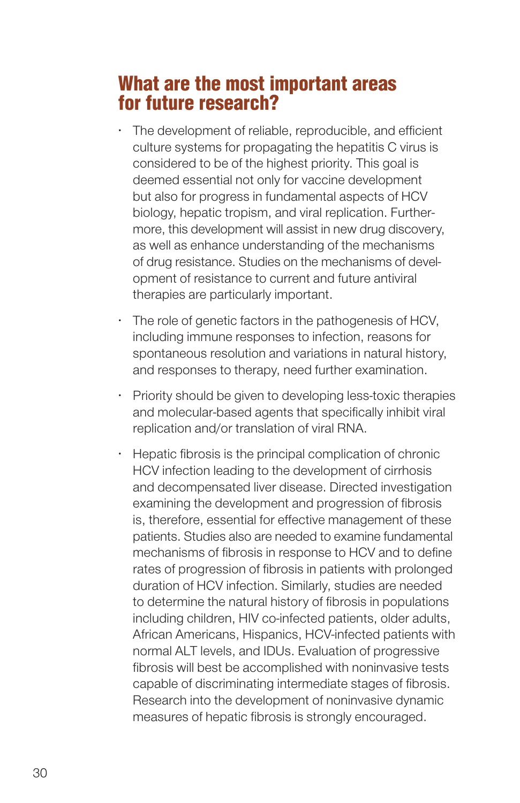## **What are the most important areas for future research?**

- The development of reliable, reproducible, and efficient culture systems for propagating the hepatitis C virus is considered to be of the highest priority. This goal is deemed essential not only for vaccine development but also for progress in fundamental aspects of HCV biology, hepatic tropism, and viral replication. Furthermore, this development will assist in new drug discovery, as well as enhance understanding of the mechanisms of drug resistance. Studies on the mechanisms of development of resistance to current and future antiviral therapies are particularly important.
- The role of genetic factors in the pathogenesis of HCV, including immune responses to infection, reasons for spontaneous resolution and variations in natural history, and responses to therapy, need further examination.
- Priority should be given to developing less-toxic therapies and molecular-based agents that specifically inhibit viral replication and/or translation of viral RNA.
- $\cdot$  Hepatic fibrosis is the principal complication of chronic HCV infection leading to the development of cirrhosis and decompensated liver disease. Directed investigation examining the development and progression of fibrosis is, therefore, essential for effective management of these patients. Studies also are needed to examine fundamental mechanisms of fibrosis in response to HCV and to define rates of progression of fibrosis in patients with prolonged duration of HCV infection. Similarly, studies are needed to determine the natural history of fibrosis in populations including children, HIV co-infected patients, older adults, African Americans, Hispanics, HCV-infected patients with normal ALT levels, and IDUs. Evaluation of progressive fibrosis will best be accomplished with noninvasive tests capable of discriminating intermediate stages of fibrosis. Research into the development of noninvasive dynamic measures of hepatic fibrosis is strongly encouraged.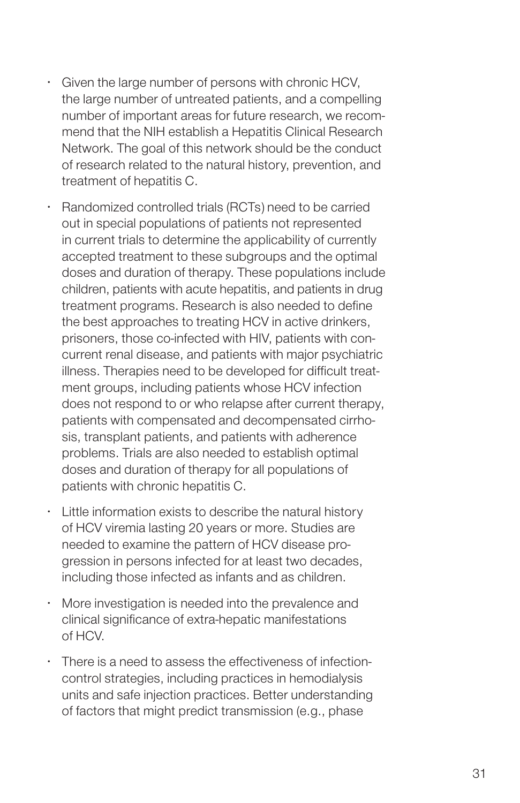- Given the large number of persons with chronic HCV, the large number of untreated patients, and a compelling number of important areas for future research, we recommend that the NIH establish a Hepatitis Clinical Research Network. The goal of this network should be the conduct of research related to the natural history, prevention, and treatment of hepatitis C.
- Randomized controlled trials (RCTs) need to be carried out in special populations of patients not represented in current trials to determine the applicability of currently accepted treatment to these subgroups and the optimal doses and duration of therapy. These populations include children, patients with acute hepatitis, and patients in drug treatment programs. Research is also needed to define the best approaches to treating HCV in active drinkers, prisoners, those co-infected with HIV, patients with concurrent renal disease, and patients with major psychiatric illness. Therapies need to be developed for difficult treatment groups, including patients whose HCV infection does not respond to or who relapse after current therapy, patients with compensated and decompensated cirrhosis, transplant patients, and patients with adherence problems. Trials are also needed to establish optimal doses and duration of therapy for all populations of patients with chronic hepatitis C.
- $\cdot$  Little information exists to describe the natural history of HCV viremia lasting 20 years or more. Studies are needed to examine the pattern of HCV disease progression in persons infected for at least two decades, including those infected as infants and as children.
- More investigation is needed into the prevalence and clinical significance of extra-hepatic manifestations of HCV.
- $\cdot$  There is a need to assess the effectiveness of infectioncontrol strategies, including practices in hemodialysis units and safe injection practices. Better understanding of factors that might predict transmission (e.g., phase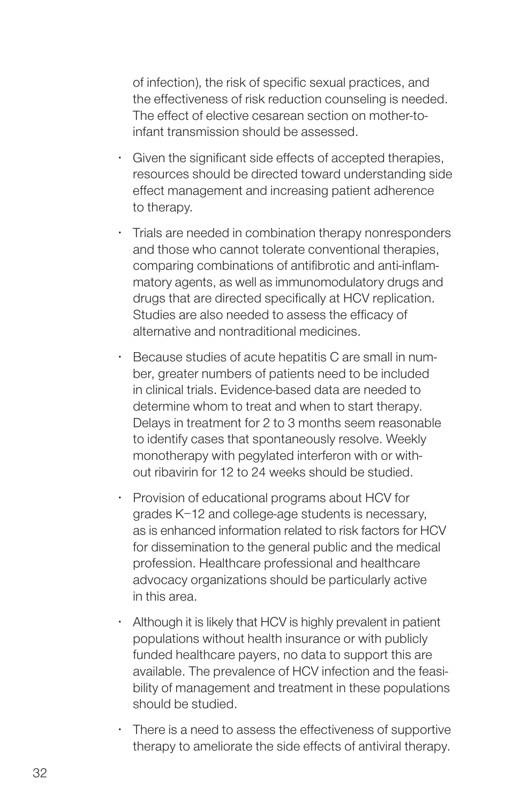of infection), the risk of specific sexual practices, and the effectiveness of risk reduction counseling is needed. The effect of elective cesarean section on mother-toinfant transmission should be assessed.

- $\cdot$  Given the significant side effects of accepted therapies, resources should be directed toward understanding side effect management and increasing patient adherence to therapy.
- Trials are needed in combination therapy nonresponders and those who cannot tolerate conventional therapies, comparing combinations of antifibrotic and anti-inflammatory agents, as well as immunomodulatory drugs and drugs that are directed specifically at HCV replication. Studies are also needed to assess the efficacy of alternative and nontraditional medicines.
- $\cdot$  Because studies of acute hepatitis C are small in number, greater numbers of patients need to be included in clinical trials. Evidence-based data are needed to determine whom to treat and when to start therapy. Delays in treatment for 2 to 3 months seem reasonable to identify cases that spontaneously resolve. Weekly monotherapy with pegylated interferon with or without ribavirin for 12 to 24 weeks should be studied.
- Provision of educational programs about HCV for grades K–12 and college-age students is necessary, as is enhanced information related to risk factors for HCV for dissemination to the general public and the medical profession. Healthcare professional and healthcare advocacy organizations should be particularly active in this area.
- $\cdot$  Although it is likely that HCV is highly prevalent in patient populations without health insurance or with publicly funded healthcare payers, no data to support this are available. The prevalence of HCV infection and the feasibility of management and treatment in these populations should be studied.
- There is a need to assess the effectiveness of supportive therapy to ameliorate the side effects of antiviral therapy.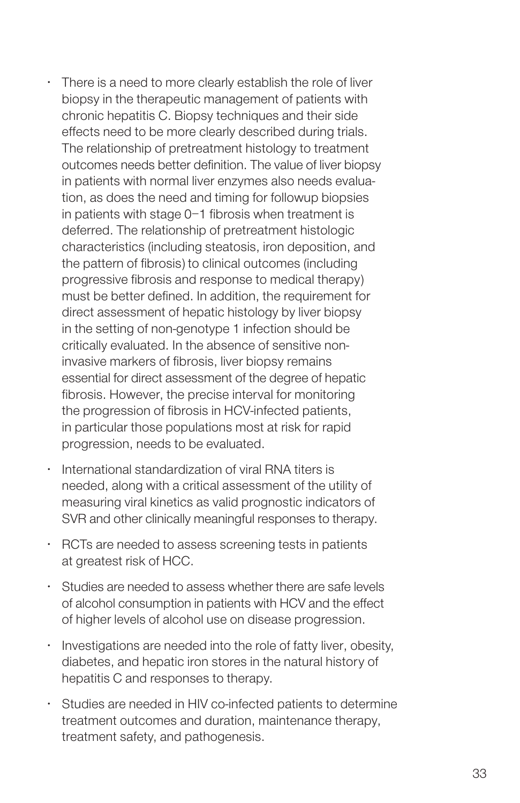- $\cdot$  There is a need to more clearly establish the role of liver biopsy in the therapeutic management of patients with chronic hepatitis C. Biopsy techniques and their side effects need to be more clearly described during trials. The relationship of pretreatment histology to treatment outcomes needs better definition. The value of liver biopsy in patients with normal liver enzymes also needs evaluation, as does the need and timing for followup biopsies in patients with stage 0–1 fibrosis when treatment is deferred. The relationship of pretreatment histologic characteristics (including steatosis, iron deposition, and the pattern of fibrosis) to clinical outcomes (including progressive fibrosis and response to medical therapy) must be better defined. In addition, the requirement for direct assessment of hepatic histology by liver biopsy in the setting of non-genotype 1 infection should be critically evaluated. In the absence of sensitive noninvasive markers of fibrosis, liver biopsy remains essential for direct assessment of the degree of hepatic fibrosis. However, the precise interval for monitoring the progression of fibrosis in HCV-infected patients, in particular those populations most at risk for rapid progression, needs to be evaluated.
- International standardization of viral RNA titers is needed, along with a critical assessment of the utility of measuring viral kinetics as valid prognostic indicators of SVR and other clinically meaningful responses to therapy.
- $\cdot$  RCTs are needed to assess screening tests in patients at greatest risk of HCC.
- Studies are needed to assess whether there are safe levels of alcohol consumption in patients with HCV and the effect of higher levels of alcohol use on disease progression.
- $\cdot$  Investigations are needed into the role of fatty liver, obesity, diabetes, and hepatic iron stores in the natural history of hepatitis C and responses to therapy.
- Studies are needed in HIV co-infected patients to determine treatment outcomes and duration, maintenance therapy, treatment safety, and pathogenesis.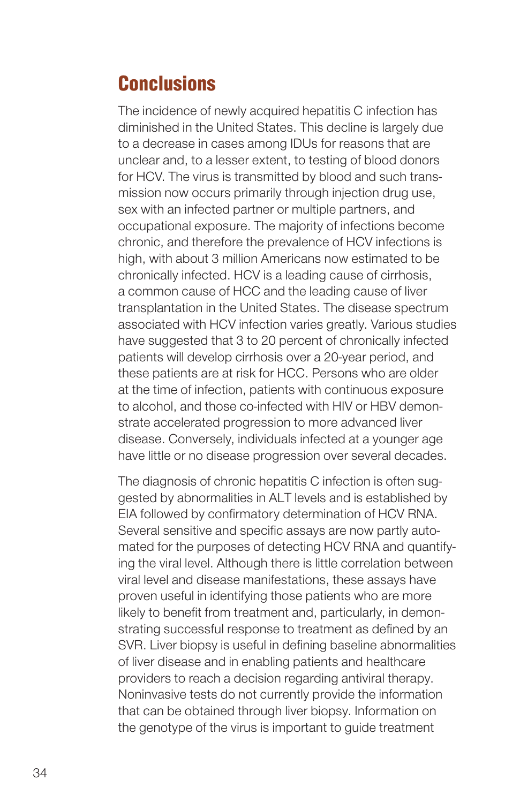# **Conclusions**

The incidence of newly acquired hepatitis C infection has diminished in the United States. This decline is largely due to a decrease in cases among IDUs for reasons that are unclear and, to a lesser extent, to testing of blood donors for HCV. The virus is transmitted by blood and such transmission now occurs primarily through injection drug use, sex with an infected partner or multiple partners, and occupational exposure. The majority of infections become chronic, and therefore the prevalence of HCV infections is high, with about 3 million Americans now estimated to be chronically infected. HCV is a leading cause of cirrhosis, a common cause of HCC and the leading cause of liver transplantation in the United States. The disease spectrum associated with HCV infection varies greatly. Various studies have suggested that 3 to 20 percent of chronically infected patients will develop cirrhosis over a 20-year period, and these patients are at risk for HCC. Persons who are older at the time of infection, patients with continuous exposure to alcohol, and those co-infected with HIV or HBV demonstrate accelerated progression to more advanced liver disease. Conversely, individuals infected at a younger age have little or no disease progression over several decades.

The diagnosis of chronic hepatitis C infection is often suggested by abnormalities in ALT levels and is established by EIA followed by confirmatory determination of HCV RNA. Several sensitive and specific assays are now partly automated for the purposes of detecting HCV RNA and quantifying the viral level. Although there is little correlation between viral level and disease manifestations, these assays have proven useful in identifying those patients who are more likely to benefit from treatment and, particularly, in demonstrating successful response to treatment as defined by an SVR. Liver biopsy is useful in defining baseline abnormalities of liver disease and in enabling patients and healthcare providers to reach a decision regarding antiviral therapy. Noninvasive tests do not currently provide the information that can be obtained through liver biopsy. Information on the genotype of the virus is important to guide treatment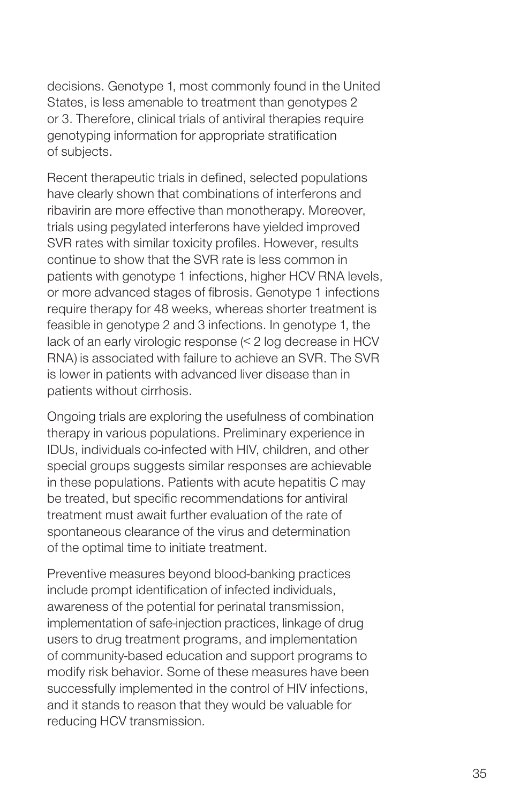decisions. Genotype 1, most commonly found in the United States, is less amenable to treatment than genotypes 2 or 3. Therefore, clinical trials of antiviral therapies require genotyping information for appropriate stratification of subjects.

Recent therapeutic trials in defined, selected populations have clearly shown that combinations of interferons and ribavirin are more effective than monotherapy. Moreover, trials using pegylated interferons have yielded improved SVR rates with similar toxicity profiles. However, results continue to show that the SVR rate is less common in patients with genotype 1 infections, higher HCV RNA levels, or more advanced stages of fibrosis. Genotype 1 infections require therapy for 48 weeks, whereas shorter treatment is feasible in genotype 2 and 3 infections. In genotype 1, the lack of an early virologic response (< 2 log decrease in HCV RNA) is associated with failure to achieve an SVR. The SVR is lower in patients with advanced liver disease than in patients without cirrhosis.

Ongoing trials are exploring the usefulness of combination therapy in various populations. Preliminary experience in IDUs, individuals co-infected with HIV, children, and other special groups suggests similar responses are achievable in these populations. Patients with acute hepatitis C may be treated, but specific recommendations for antiviral treatment must await further evaluation of the rate of spontaneous clearance of the virus and determination of the optimal time to initiate treatment.

Preventive measures beyond blood-banking practices include prompt identification of infected individuals, awareness of the potential for perinatal transmission, implementation of safe-injection practices, linkage of drug users to drug treatment programs, and implementation of community-based education and support programs to modify risk behavior. Some of these measures have been successfully implemented in the control of HIV infections, and it stands to reason that they would be valuable for reducing HCV transmission.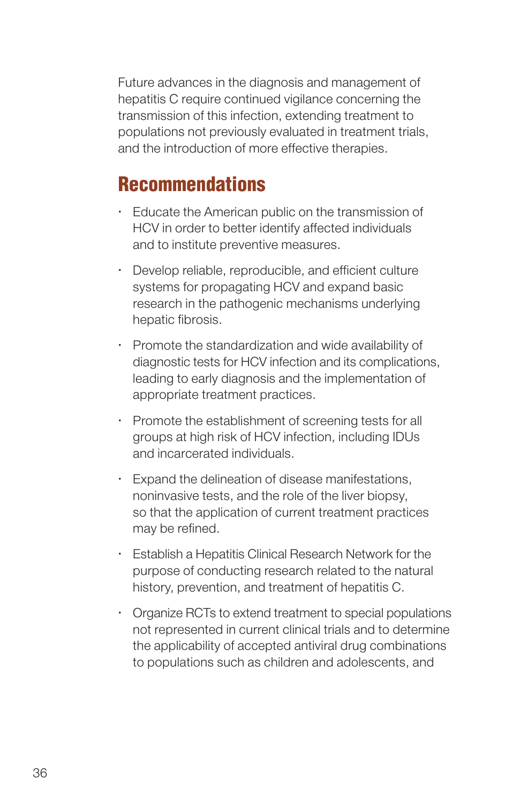Future advances in the diagnosis and management of hepatitis C require continued vigilance concerning the transmission of this infection, extending treatment to populations not previously evaluated in treatment trials, and the introduction of more effective therapies.

## **Recommendations**

- $\cdot$  Educate the American public on the transmission of HCV in order to better identify affected individuals and to institute preventive measures.
- Develop reliable, reproducible, and efficient culture systems for propagating HCV and expand basic research in the pathogenic mechanisms underlying hepatic fibrosis.
- $\cdot$  Promote the standardization and wide availability of diagnostic tests for HCV infection and its complications, leading to early diagnosis and the implementation of appropriate treatment practices.
- $\cdot$  Promote the establishment of screening tests for all groups at high risk of HCV infection, including IDUs and incarcerated individuals.
- $\cdot$  Expand the delineation of disease manifestations, noninvasive tests, and the role of the liver biopsy, so that the application of current treatment practices may be refined.
- • Establish a Hepatitis Clinical Research Network for the purpose of conducting research related to the natural history, prevention, and treatment of hepatitis C.
- $\cdot$  Organize RCTs to extend treatment to special populations not represented in current clinical trials and to determine the applicability of accepted antiviral drug combinations to populations such as children and adolescents, and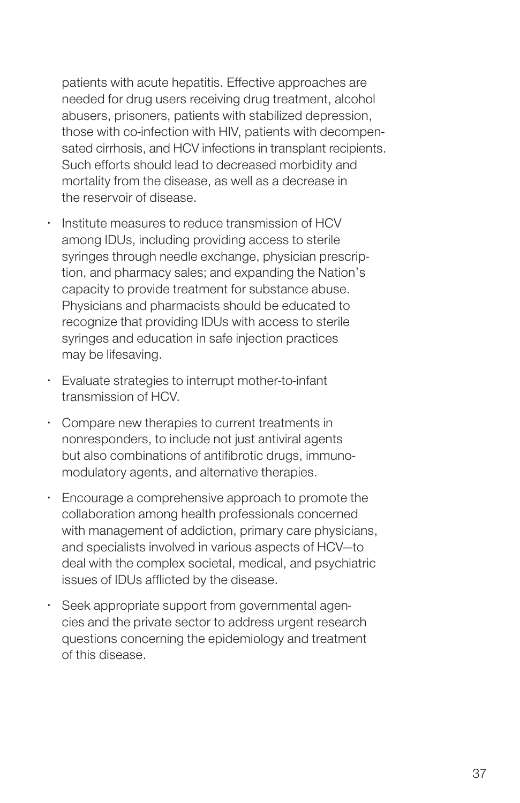patients with acute hepatitis. Effective approaches are needed for drug users receiving drug treatment, alcohol abusers, prisoners, patients with stabilized depression, those with co-infection with HIV, patients with decompensated cirrhosis, and HCV infections in transplant recipients. Such efforts should lead to decreased morbidity and mortality from the disease, as well as a decrease in the reservoir of disease.

- • Institute measures to reduce transmission of HCV among IDUs, including providing access to sterile syringes through needle exchange, physician prescription, and pharmacy sales; and expanding the Nation's capacity to provide treatment for substance abuse. Physicians and pharmacists should be educated to recognize that providing IDUs with access to sterile syringes and education in safe injection practices may be lifesaving.
- • Evaluate strategies to interrupt mother-to-infant transmission of HCV.
- • Compare new therapies to current treatments in nonresponders, to include not just antiviral agents but also combinations of antifibrotic drugs, immunomodulatory agents, and alternative therapies.
- $\cdot$  Encourage a comprehensive approach to promote the collaboration among health professionals concerned with management of addiction, primary care physicians, and specialists involved in various aspects of HCV—to deal with the complex societal, medical, and psychiatric issues of IDUs afflicted by the disease.
- Seek appropriate support from governmental agencies and the private sector to address urgent research questions concerning the epidemiology and treatment of this disease.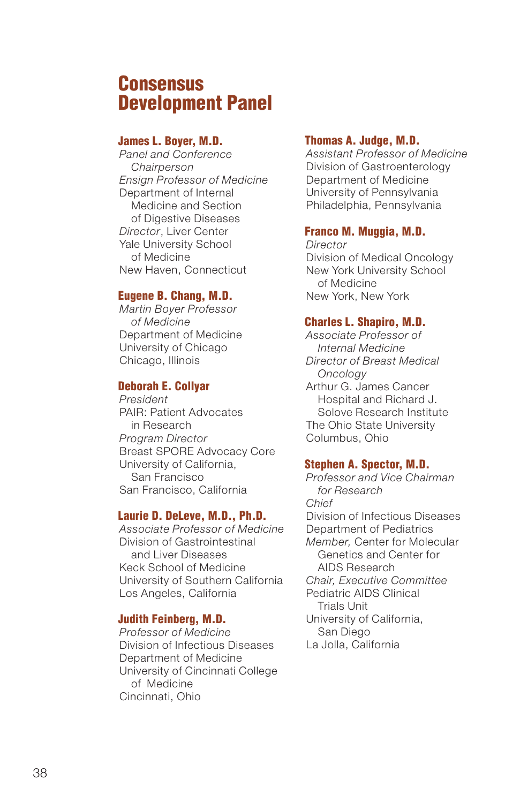## **Consensus Development Panel**

### **James L. Boyer, M.D.**

Panel and Conference **Chairperson** Ensign Professor of Medicine Department of Internal Medicine and Section of Digestive Diseases Director, Liver Center Yale University School of Medicine New Haven, Connecticut

#### **Eugene B. Chang, M.D.**

Martin Boyer Professor of Medicine Department of Medicine University of Chicago Chicago, Illinois

### **Deborah E. Collyar**

President PAIR: Patient Advocates in Research Program Director Breast SPORE Advocacy Core University of California, San Francisco San Francisco, California

### **Laurie D. DeLeve, M.D., Ph.D.**

Associate Professor of Medicine Division of Gastrointestinal and Liver Diseases Keck School of Medicine University of Southern California Los Angeles, California

### **Judith Feinberg, M.D.**

Professor of Medicine Division of Infectious Diseases Department of Medicine University of Cincinnati College of Medicine Cincinnati, Ohio

### **Thomas A. Judge, M.D.**

Assistant Professor of Medicine Division of Gastroenterology Department of Medicine University of Pennsylvania Philadelphia, Pennsylvania

#### **Franco M. Muggia, M.D.**

**Director** Division of Medical Oncology New York University School of Medicine New York, New York

### **Charles L. Shapiro, M.D.**

Associate Professor of Internal Medicine Director of Breast Medical **Oncology** Arthur G. James Cancer Hospital and Richard J. Solove Research Institute The Ohio State University Columbus, Ohio

#### **Stephen A. Spector, M.D.**

Professor and Vice Chairman for Research Chief Division of Infectious Diseases Department of Pediatrics Member, Center for Molecular Genetics and Center for AIDS Research Chair, Executive Committee Pediatric AIDS Clinical Trials Unit University of California, San Diego La Jolla, California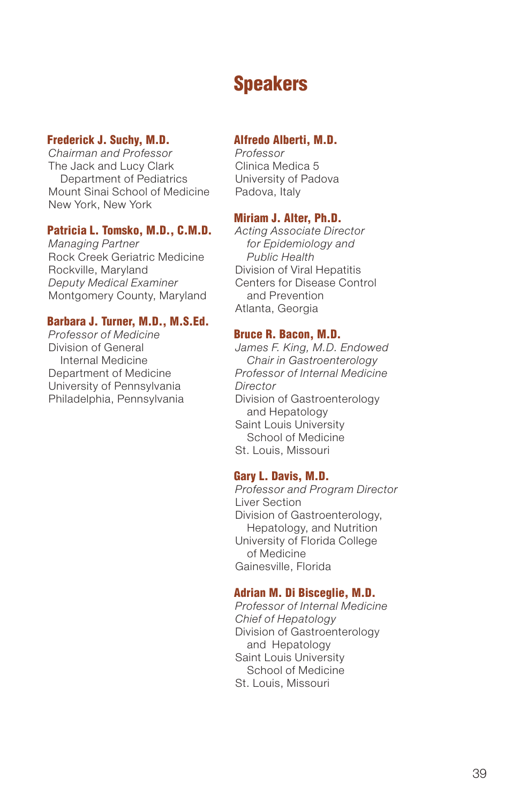## **Speakers**

### **Frederick J. Suchy, M.D.**

Chairman and Professor The Jack and Lucy Clark Department of Pediatrics Mount Sinai School of Medicine New York, New York

#### **Patricia L. Tomsko, M.D., C.M.D.**

Managing Partner Rock Creek Geriatric Medicine Rockville, Maryland Deputy Medical Examiner Montgomery County, Maryland

#### **Barbara J. Turner, M.D., M.S.Ed.**

Professor of Medicine Division of General Internal Medicine Department of Medicine University of Pennsylvania Philadelphia, Pennsylvania

### **Alfredo Alberti, M.D.**

Professor Clinica Medica 5 University of Padova Padova, Italy

### **Miriam J. Alter, Ph.D.**

Acting Associate Director for Epidemiology and Public Health Division of Viral Hepatitis Centers for Disease Control and Prevention Atlanta, Georgia

#### **Bruce R. Bacon, M.D.**

James F. King, M.D. Endowed Chair in Gastroenterology Professor of Internal Medicine **Director** Division of Gastroenterology and Hepatology Saint Louis University School of Medicine St. Louis, Missouri

### **Gary L. Davis, M.D.**

Professor and Program Director Liver Section Division of Gastroenterology, Hepatology, and Nutrition University of Florida College of Medicine Gainesville, Florida

### **Adrian M. Di Bisceglie, M.D.**

Professor of Internal Medicine Chief of Hepatology Division of Gastroenterology and Hepatology Saint Louis University School of Medicine St. Louis, Missouri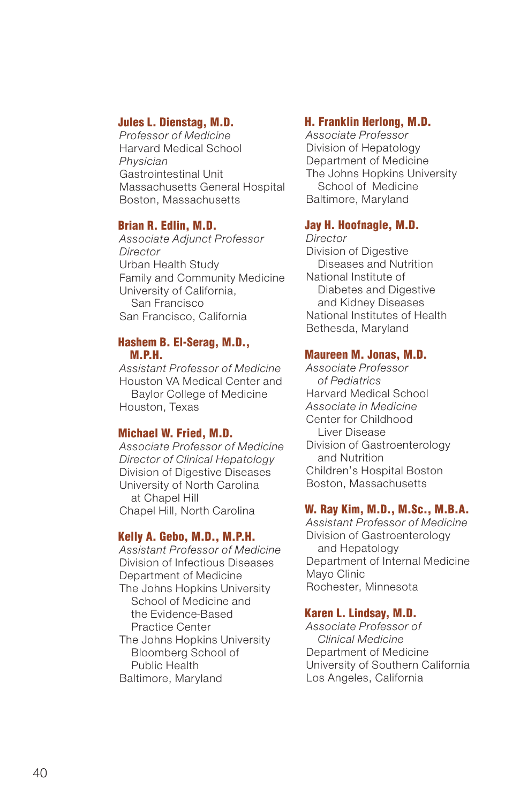### **Jules L. Dienstag, M.D.**

Professor of Medicine Harvard Medical School Physician Gastrointestinal Unit Massachusetts General Hospital Boston, Massachusetts

#### **Brian R. Edlin, M.D.**

Associate Adjunct Professor **Director** Urban Health Study Family and Community Medicine University of California, San Francisco San Francisco, California

#### **Hashem B. El-Serag, M.D., M.P.H.**

Assistant Professor of Medicine Houston VA Medical Center and Baylor College of Medicine Houston, Texas

### **Michael W. Fried, M.D.**

Associate Professor of Medicine Director of Clinical Hepatology Division of Digestive Diseases University of North Carolina at Chapel Hill Chapel Hill, North Carolina

#### **Kelly A. Gebo, M.D., M.P.H.**

Assistant Professor of Medicine Division of Infectious Diseases Department of Medicine The Johns Hopkins University School of Medicine and the Evidence-Based Practice Center The Johns Hopkins University Bloomberg School of Public Health Baltimore, Maryland

#### **H. Franklin Herlong, M.D.**

Associate Professor Division of Hepatology Department of Medicine The Johns Hopkins University School of Medicine Baltimore, Maryland

#### **Jay H. Hoofnagle, M.D.**

**Director** Division of Digestive Diseases and Nutrition National Institute of Diabetes and Digestive and Kidney Diseases National Institutes of Health Bethesda, Maryland

#### **Maureen M. Jonas, M.D.**

Associate Professor of Pediatrics Harvard Medical School Associate in Medicine Center for Childhood Liver Disease Division of Gastroenterology and Nutrition Children's Hospital Boston Boston, Massachusetts

#### **W. Ray Kim, M.D., M.Sc., M.B.A.**

Assistant Professor of Medicine Division of Gastroenterology and Hepatology Department of Internal Medicine Mayo Clinic Rochester, Minnesota

#### **Karen L. Lindsay, M.D.**

Associate Professor of Clinical Medicine Department of Medicine University of Southern California Los Angeles, California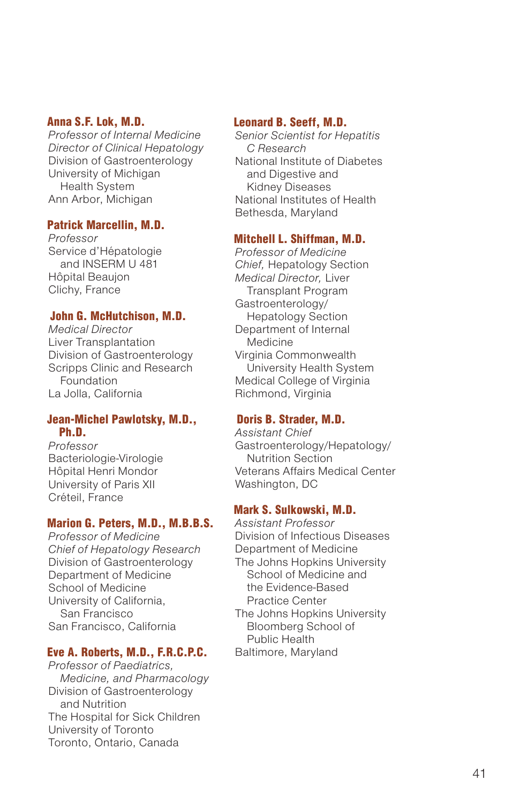#### **Anna S.F. Lok, M.D.**

Professor of Internal Medicine Director of Clinical Hepatology Division of Gastroenterology University of Michigan Health System Ann Arbor, Michigan

### **Patrick Marcellin, M.D.**

Professor Service d'Hépatologie and INSERM U 481 Hôpital Beaujon Clichy, France

#### **John G. McHutchison, M.D.**

Medical Director Liver Transplantation Division of Gastroenterology Scripps Clinic and Research Foundation La Jolla, California

### **Jean-Michel Pawlotsky, M.D., Ph.D.**

Professor Bacteriologie-Virologie Hôpital Henri Mondor University of Paris XII Créteil, France

### **Marion G. Peters, M.D., M.B.B.S.**

Professor of Medicine Chief of Hepatology Research Division of Gastroenterology Department of Medicine School of Medicine University of California, San Francisco San Francisco, California

## **Eve A. Roberts, M.D., F.R.C.P.C.**

Professor of Paediatrics, Medicine, and Pharmacology Division of Gastroenterology and Nutrition The Hospital for Sick Children University of Toronto Toronto, Ontario, Canada

### **Leonard B. Seeff, M.D.**

Senior Scientist for Hepatitis C Research National Institute of Diabetes and Digestive and Kidney Diseases National Institutes of Health Bethesda, Maryland

### **Mitchell L. Shiffman, M.D.**

Professor of Medicine Chief, Hepatology Section Medical Director, Liver Transplant Program Gastroenterology/ Hepatology Section Department of Internal Medicine Virginia Commonwealth University Health System Medical College of Virginia Richmond, Virginia

### **Doris B. Strader, M.D.**

Assistant Chief Gastroenterology/Hepatology/ Nutrition Section Veterans Affairs Medical Center Washington, DC

### **Mark S. Sulkowski, M.D.**

Assistant Professor Division of Infectious Diseases Department of Medicine The Johns Hopkins University School of Medicine and the Evidence-Based Practice Center The Johns Hopkins University Bloomberg School of Public Health Baltimore, Maryland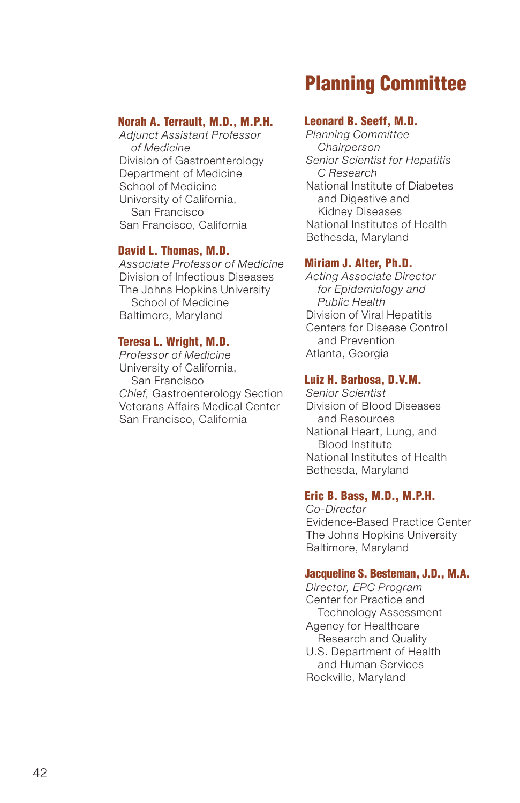### **Norah A. Terrault, M.D., M.P.H.**

Adjunct Assistant Professor of Medicine Division of Gastroenterology Department of Medicine School of Medicine University of California, San Francisco San Francisco, California

#### **David L. Thomas, M.D.**

Associate Professor of Medicine Division of Infectious Diseases The Johns Hopkins University School of Medicine Baltimore, Maryland

#### **Teresa L. Wright, M.D.**

Professor of Medicine University of California, San Francisco Chief, Gastroenterology Section Veterans Affairs Medical Center San Francisco, California

## **Planning Committee**

#### **Leonard B. Seeff, M.D.**

Planning Committee Chairperson Senior Scientist for Hepatitis C Research National Institute of Diabetes and Digestive and Kidney Diseases National Institutes of Health Bethesda, Maryland

#### **Miriam J. Alter, Ph.D.**

Acting Associate Director for Epidemiology and Public Health Division of Viral Hepatitis Centers for Disease Control and Prevention Atlanta, Georgia

### **Luiz H. Barbosa, D.V.M.**

Senior Scientist Division of Blood Diseases and Resources National Heart, Lung, and Blood Institute National Institutes of Health Bethesda, Maryland

#### **Eric B. Bass, M.D., M.P.H.**

Co-Director Evidence-Based Practice Center The Johns Hopkins University Baltimore, Maryland

#### **Jacqueline S. Besteman, J.D., M.A.**

Director, EPC Program Center for Practice and Technology Assessment Agency for Healthcare Research and Quality U.S. Department of Health and Human Services Rockville, Maryland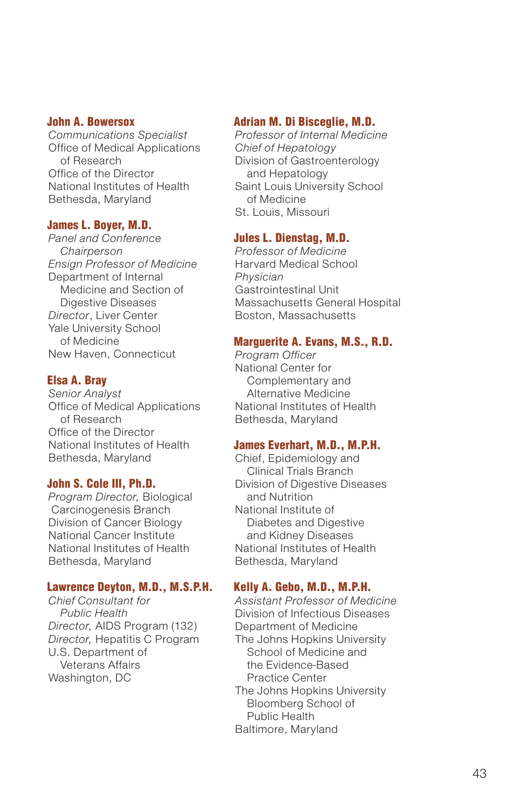#### **John A. Bowersox**

Communications Specialist Office of Medical Applications of Research Office of the Director National Institutes of Health Bethesda, Maryland

### **James L. Boyer, M.D.**

Panel and Conference Chairperson Ensign Professor of Medicine Department of Internal Medicine and Section of Digestive Diseases Director, Liver Center Yale University School of Medicine New Haven, Connecticut

### **Elsa A. Bray**

Senior Analyst Office of Medical Applications of Research Office of the Director National Institutes of Health Bethesda, Maryland

### **John S. Cole III, Ph.D.**

Program Director, Biological Carcinogenesis Branch Division of Cancer Biology National Cancer Institute National Institutes of Health Bethesda, Maryland

### **Lawrence Deyton, M.D., M.S.P.H.**

Chief Consultant for Public Health Director, AIDS Program (132) Director, Hepatitis C Program U.S. Department of Veterans Affairs Washington, DC

### **Adrian M. Di Bisceglie, M.D.**

Professor of Internal Medicine Chief of Hepatology Division of Gastroenterology and Hepatology Saint Louis University School of Medicine St. Louis, Missouri

### **Jules L. Dienstag, M.D.**

Professor of Medicine Harvard Medical School Physician Gastrointestinal Unit Massachusetts General Hospital Boston, Massachusetts

## **Marguerite A. Evans, M.S., R.D.**

Program Officer National Center for Complementary and Alternative Medicine National Institutes of Health Bethesda, Maryland

## **James Everhart, M.D., M.P.H.**

Chief, Epidemiology and Clinical Trials Branch Division of Digestive Diseases and Nutrition National Institute of Diabetes and Digestive and Kidney Diseases National Institutes of Health Bethesda, Maryland

## **Kelly A. Gebo, M.D., M.P.H.**

Assistant Professor of Medicine Division of Infectious Diseases Department of Medicine The Johns Hopkins University School of Medicine and the Evidence-Based Practice Center The Johns Hopkins University Bloomberg School of Public Health Baltimore, Maryland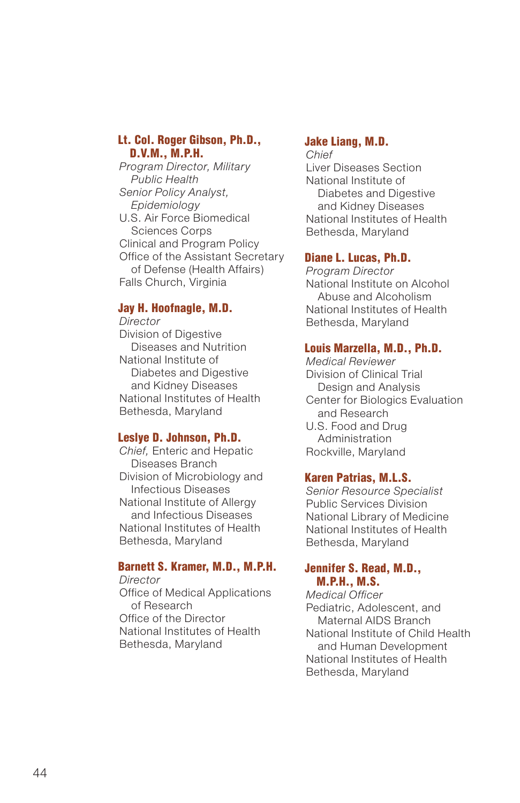#### **Lt. Col. Roger Gibson, Ph.D., D.V.M., M.P.H.**

Program Director, Military Public Health Senior Policy Analyst, Epidemiology U.S. Air Force Biomedical Sciences Corps Clinical and Program Policy Office of the Assistant Secretary of Defense (Health Affairs) Falls Church, Virginia

### **Jay H. Hoofnagle, M.D.**

Director Division of Digestive Diseases and Nutrition National Institute of Diabetes and Digestive and Kidney Diseases National Institutes of Health Bethesda, Maryland

### **Leslye D. Johnson, Ph.D.**

Chief, Enteric and Hepatic Diseases Branch Division of Microbiology and Infectious Diseases National Institute of Allergy and Infectious Diseases National Institutes of Health Bethesda, Maryland

### **Barnett S. Kramer, M.D., M.P.H.**

**Director** Office of Medical Applications of Research Office of the Director National Institutes of Health Bethesda, Maryland

#### **Jake Liang, M.D.**

Chief Liver Diseases Section National Institute of Diabetes and Digestive and Kidney Diseases National Institutes of Health Bethesda, Maryland

#### **Diane L. Lucas, Ph.D.**

Program Director National Institute on Alcohol Abuse and Alcoholism National Institutes of Health Bethesda, Maryland

#### **Louis Marzella, M.D., Ph.D.**

Medical Reviewer Division of Clinical Trial Design and Analysis Center for Biologics Evaluation and Research U.S. Food and Drug Administration Rockville, Maryland

#### **Karen Patrias, M.L.S.**

Senior Resource Specialist Public Services Division National Library of Medicine National Institutes of Health Bethesda, Maryland

#### **Jennifer S. Read, M.D., M.P.H., M.S.**

Medical Officer Pediatric, Adolescent, and Maternal AIDS Branch National Institute of Child Health and Human Development National Institutes of Health Bethesda, Maryland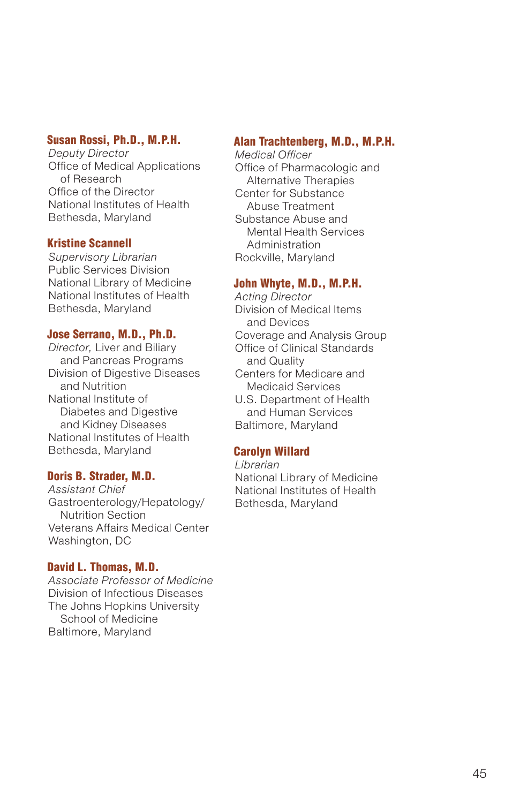### **Susan Rossi, Ph.D., M.P.H.**

Deputy Director Office of Medical Applications of Research Office of the Director National Institutes of Health Bethesda, Maryland

## **Kristine Scannell**

Supervisory Librarian Public Services Division National Library of Medicine National Institutes of Health Bethesda, Maryland

## **Jose Serrano, M.D., Ph.D.**

Director, Liver and Biliary and Pancreas Programs Division of Digestive Diseases and Nutrition National Institute of Diabetes and Digestive and Kidney Diseases National Institutes of Health Bethesda, Maryland

## **Doris B. Strader, M.D.**

Assistant Chief Gastroenterology/Hepatology/ Nutrition Section Veterans Affairs Medical Center Washington, DC

## **David L. Thomas, M.D.**

Associate Professor of Medicine Division of Infectious Diseases The Johns Hopkins University School of Medicine Baltimore, Maryland

### **Alan Trachtenberg, M.D., M.P.H.**

Medical Officer Office of Pharmacologic and Alternative Therapies Center for Substance Abuse Treatment Substance Abuse and Mental Health Services Administration Rockville, Maryland

### **John Whyte, M.D., M.P.H.**

Acting Director Division of Medical Items and Devices Coverage and Analysis Group Office of Clinical Standards and Quality Centers for Medicare and Medicaid Services U.S. Department of Health and Human Services Baltimore, Maryland

## **Carolyn Willard**

Librarian National Library of Medicine National Institutes of Health Bethesda, Maryland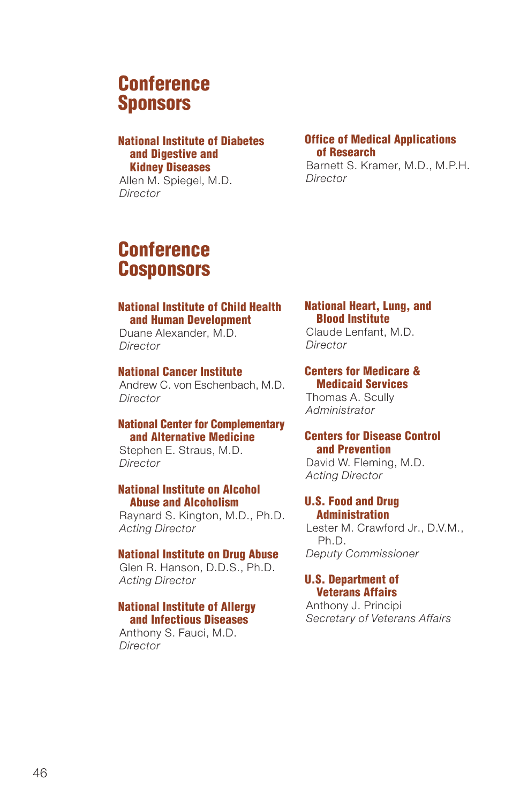## **Conference Sponsors**

#### **National Institute of Diabetes and Digestive and Kidney Diseases**

Allen M. Spiegel, M.D. **Director** 

## **Office of Medical Applications of Research**

Barnett S. Kramer, M.D., M.P.H. **Director** 

## **Conference Cosponsors**

### **National Institute of Child Health and Human Development**

Duane Alexander, M.D. **Director** 

## **National Cancer Institute**

Andrew C. von Eschenbach, M.D. **Director** 

### **National Center for Complementary and Alternative Medicine**

Stephen E. Straus, M.D. **Director** 

### **National Institute on Alcohol Abuse and Alcoholism**

Raynard S. Kington, M.D., Ph.D. Acting Director

### **National Institute on Drug Abuse**

Glen R. Hanson, D.D.S., Ph.D. Acting Director

### **National Institute of Allergy and Infectious Diseases**

Anthony S. Fauci, M.D. **Director** 

### **National Heart, Lung, and Blood Institute**

Claude Lenfant, M.D. **Director** 

#### **Centers for Medicare & Medicaid Services**

Thomas A. Scully Administrator

### **Centers for Disease Control and Prevention**

David W. Fleming, M.D. Acting Director

#### **U.S. Food and Drug Administration**

Lester M. Crawford Jr., D.V.M., Ph.D. Deputy Commissioner

### **U.S. Department of Veterans Affairs**

Anthony J. Principi Secretary of Veterans Affairs